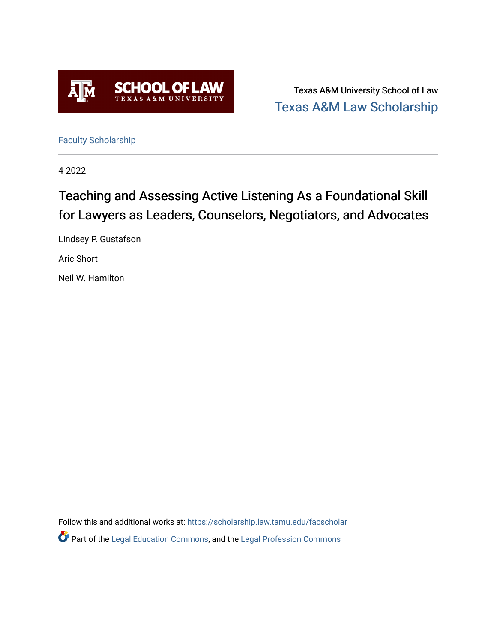

Texas A&M University School of Law [Texas A&M Law Scholarship](https://scholarship.law.tamu.edu/) 

[Faculty Scholarship](https://scholarship.law.tamu.edu/facscholar)

4-2022

# Teaching and Assessing Active Listening As a Foundational Skill for Lawyers as Leaders, Counselors, Negotiators, and Advocates

Lindsey P. Gustafson

Aric Short

Neil W. Hamilton

Follow this and additional works at: [https://scholarship.law.tamu.edu/facscholar](https://scholarship.law.tamu.edu/facscholar?utm_source=scholarship.law.tamu.edu%2Ffacscholar%2F1557&utm_medium=PDF&utm_campaign=PDFCoverPages) 

**P** Part of the [Legal Education Commons,](https://network.bepress.com/hgg/discipline/857?utm_source=scholarship.law.tamu.edu%2Ffacscholar%2F1557&utm_medium=PDF&utm_campaign=PDFCoverPages) and the Legal Profession Commons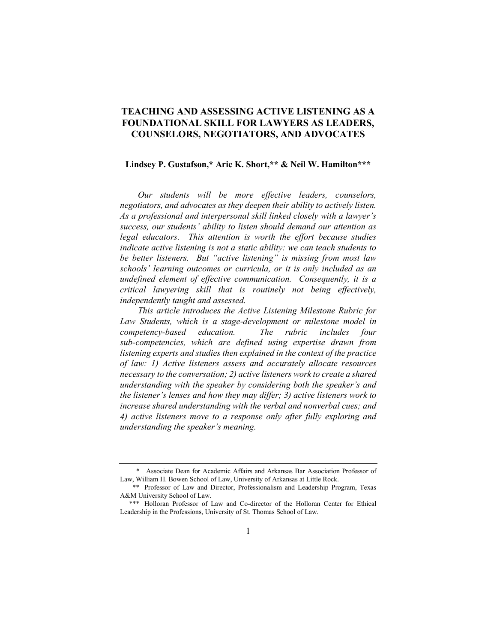# TEACHING AND ASSESSING ACTIVE LISTENING AS A FOUNDATIONAL SKILL FOR LAWYERS AS LEADERS, COUNSELORS, NEGOTIATORS, AND ADVOCATES

## Lindsey P. Gustafson,\* Aric K. Short,\*\* & Neil W. Hamilton\*\*\*

Our students will be more effective leaders, counselors, negotiators, and advocates as they deepen their ability to actively listen. As a professional and interpersonal skill linked closely with a lawyer's success, our students' ability to listen should demand our attention as legal educators. This attention is worth the effort because studies indicate active listening is not a static ability: we can teach students to be better listeners. But "active listening" is missing from most law schools' learning outcomes or curricula, or it is only included as an undefined element of effective communication. Consequently, it is a critical lawyering skill that is routinely not being effectively, independently taught and assessed.

This article introduces the Active Listening Milestone Rubric for Law Students, which is a stage-development or milestone model in competency-based education. The rubric includes four sub-competencies, which are defined using expertise drawn from listening experts and studies then explained in the context of the practice of law: 1) Active listeners assess and accurately allocate resources necessary to the conversation; 2) active listeners work to create a shared understanding with the speaker by considering both the speaker's and the listener's lenses and how they may differ; 3) active listeners work to increase shared understanding with the verbal and nonverbal cues; and 4) active listeners move to a response only after fully exploring and understanding the speaker's meaning.

 <sup>\*</sup> Associate Dean for Academic Affairs and Arkansas Bar Association Professor of Law, William H. Bowen School of Law, University of Arkansas at Little Rock.

 <sup>\*\*</sup> Professor of Law and Director, Professionalism and Leadership Program, Texas A&M University School of Law.

 <sup>\*\*\*</sup> Holloran Professor of Law and Co-director of the Holloran Center for Ethical Leadership in the Professions, University of St. Thomas School of Law.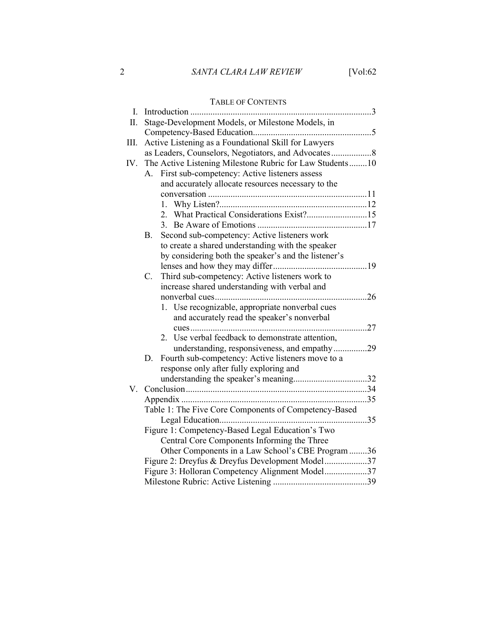## 2 SANTA CLARA LAW REVIEW [Vol:62]

## TABLE OF CONTENTS I. Introduction ................................................................................. 3 II. Stage-Development Models, or Milestone Models, in Competency-Based Education ..................................................... 5 III. Active Listening as a Foundational Skill for Lawyers as Leaders, Counselors, Negotiators, and Advocates .................. 8 IV. The Active Listening Milestone Rubric for Law Students ........ 10 A. First sub-competency: Active listeners assess and accurately allocate resources necessary to the conversation ....................................................................... 11 1. Why Listen?.................................................................. 12 2. What Practical Considerations Exist? ........................... 15 3. Be Aware of Emotions ................................................. 17 B. Second sub-competency: Active listeners work to create a shared understanding with the speaker by considering both the speaker's and the listener's lenses and how they may differ .......................................... 19 C. Third sub-competency: Active listeners work to increase shared understanding with verbal and nonverbal cues .................................................................... 26 1. Use recognizable, appropriate nonverbal cues and accurately read the speaker's nonverbal cues ............................................................................... 27 2. Use verbal feedback to demonstrate attention, understanding, responsiveness, and empathy ............... 29 D. Fourth sub-competency: Active listeners move to a response only after fully exploring and understanding the speaker's meaning ................................. 32 V. Conclusion ................................................................................. 34 Appendix ................................................................................... 35 Table 1: The Five Core Components of Competency-Based Legal Education .................................................................. 35 Figure 1: Competency-Based Legal Education's Two Central Core Components Informing the Three Other Components in a Law School's CBE Program ........ 36 Figure 2: Dreyfus & Dreyfus Development Model ................... 37 Figure 3: Holloran Competency Alignment Model ................... 37 Milestone Rubric: Active Listening .......................................... 39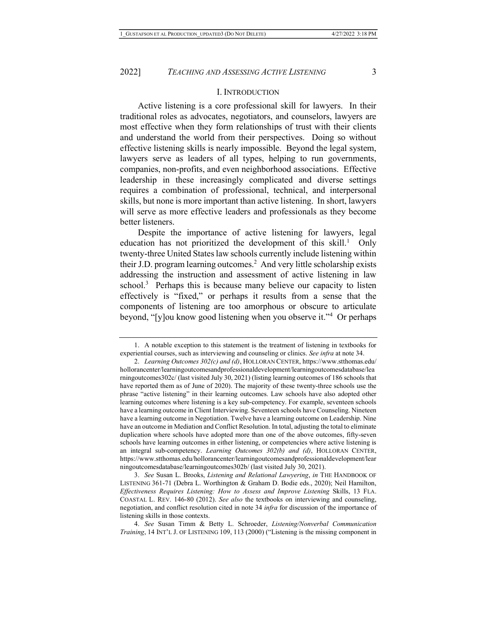#### I. INTRODUCTION

Active listening is a core professional skill for lawyers. In their traditional roles as advocates, negotiators, and counselors, lawyers are most effective when they form relationships of trust with their clients and understand the world from their perspectives. Doing so without effective listening skills is nearly impossible. Beyond the legal system, lawyers serve as leaders of all types, helping to run governments, companies, non-profits, and even neighborhood associations. Effective leadership in these increasingly complicated and diverse settings requires a combination of professional, technical, and interpersonal skills, but none is more important than active listening. In short, lawyers will serve as more effective leaders and professionals as they become better listeners.

Despite the importance of active listening for lawyers, legal education has not prioritized the development of this skill.<sup>1</sup> Only twenty-three United States law schools currently include listening within their J.D. program learning outcomes.<sup>2</sup> And very little scholarship exists addressing the instruction and assessment of active listening in law school. $3$  Perhaps this is because many believe our capacity to listen effectively is "fixed," or perhaps it results from a sense that the components of listening are too amorphous or obscure to articulate beyond, "[y]ou know good listening when you observe it."<sup>4</sup> Or perhaps

 <sup>1.</sup> A notable exception to this statement is the treatment of listening in textbooks for experiential courses, such as interviewing and counseling or clinics. See infra at note 34.

<sup>2.</sup> Learning Outcomes 302(c) and (d), HOLLORAN CENTER, https://www.stthomas.edu/ hollorancenter/learningoutcomesandprofessionaldevelopment/learningoutcomesdatabase/lea rningoutcomes302c/ (last visited July 30, 2021) (listing learning outcomes of 186 schools that have reported them as of June of 2020). The majority of these twenty-three schools use the phrase "active listening" in their learning outcomes. Law schools have also adopted other learning outcomes where listening is a key sub-competency. For example, seventeen schools have a learning outcome in Client Interviewing. Seventeen schools have Counseling. Nineteen have a learning outcome in Negotiation. Twelve have a learning outcome on Leadership. Nine have an outcome in Mediation and Conflict Resolution. In total, adjusting the total to eliminate duplication where schools have adopted more than one of the above outcomes, fifty-seven schools have learning outcomes in either listening, or competencies where active listening is an integral sub-competency. Learning Outcomes 302(b) and (d), HOLLORAN CENTER, https://www.stthomas.edu/hollorancenter/learningoutcomesandprofessionaldevelopment/lear ningoutcomesdatabase/learningoutcomes302b/ (last visited July 30, 2021).

<sup>3.</sup> See Susan L. Brooks, Listening and Relational Lawyering, in THE HANDBOOK OF LISTENING 361-71 (Debra L. Worthington & Graham D. Bodie eds., 2020); Neil Hamilton, Effectiveness Requires Listening: How to Assess and Improve Listening Skills, 13 FLA. COASTAL L. REV. 146-80 (2012). See also the textbooks on interviewing and counseling, negotiation, and conflict resolution cited in note 34 infra for discussion of the importance of listening skills in those contexts.

<sup>4.</sup> See Susan Timm & Betty L. Schroeder, Listening/Nonverbal Communication Training, 14 INT'L J. OF LISTENING 109, 113 (2000) ("Listening is the missing component in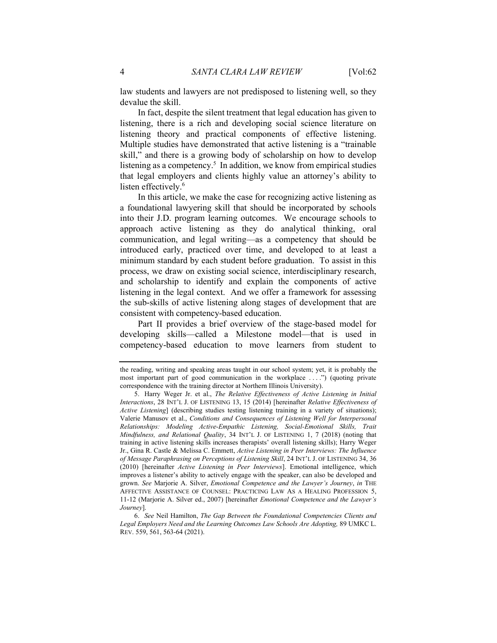law students and lawyers are not predisposed to listening well, so they devalue the skill.

In fact, despite the silent treatment that legal education has given to listening, there is a rich and developing social science literature on listening theory and practical components of effective listening. Multiple studies have demonstrated that active listening is a "trainable skill," and there is a growing body of scholarship on how to develop listening as a competency.<sup>5</sup> In addition, we know from empirical studies that legal employers and clients highly value an attorney's ability to listen effectively.<sup>6</sup>

In this article, we make the case for recognizing active listening as a foundational lawyering skill that should be incorporated by schools into their J.D. program learning outcomes. We encourage schools to approach active listening as they do analytical thinking, oral communication, and legal writing—as a competency that should be introduced early, practiced over time, and developed to at least a minimum standard by each student before graduation. To assist in this process, we draw on existing social science, interdisciplinary research, and scholarship to identify and explain the components of active listening in the legal context. And we offer a framework for assessing the sub-skills of active listening along stages of development that are consistent with competency-based education.

Part II provides a brief overview of the stage-based model for developing skills—called a Milestone model—that is used in competency-based education to move learners from student to

the reading, writing and speaking areas taught in our school system; yet, it is probably the most important part of good communication in the workplace . . . .") (quoting private correspondence with the training director at Northern Illinois University).

 <sup>5.</sup> Harry Weger Jr. et al., The Relative Effectiveness of Active Listening in Initial Interactions, 28 INT'L J. OF LISTENING 13, 15 (2014) [hereinafter Relative Effectiveness of Active Listening] (describing studies testing listening training in a variety of situations); Valerie Manusov et al., Conditions and Consequences of Listening Well for Interpersonal Relationships: Modeling Active-Empathic Listening, Social-Emotional Skills, Trait Mindfulness, and Relational Quality, 34 INT'L J. OF LISTENING 1, 7 (2018) (noting that training in active listening skills increases therapists' overall listening skills); Harry Weger Jr., Gina R. Castle & Melissa C. Emmett, Active Listening in Peer Interviews: The Influence of Message Paraphrasing on Perceptions of Listening Skill, 24 INT'L J. OF LISTENING 34, 36 (2010) [hereinafter Active Listening in Peer Interviews]. Emotional intelligence, which improves a listener's ability to actively engage with the speaker, can also be developed and grown. See Marjorie A. Silver, Emotional Competence and the Lawyer's Journey, in THE AFFECTIVE ASSISTANCE OF COUNSEL: PRACTICING LAW AS A HEALING PROFESSION 5, 11-12 (Marjorie A. Silver ed., 2007) [hereinafter Emotional Competence and the Lawyer's Journey].

<sup>6.</sup> See Neil Hamilton, The Gap Between the Foundational Competencies Clients and Legal Employers Need and the Learning Outcomes Law Schools Are Adopting, 89 UMKC L. REV. 559, 561, 563-64 (2021).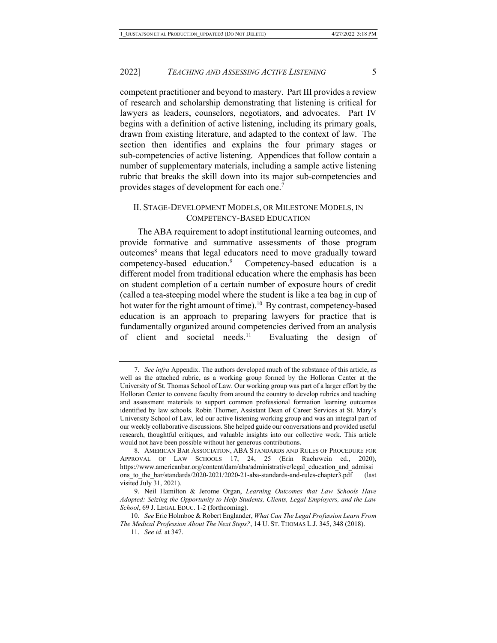competent practitioner and beyond to mastery. Part III provides a review of research and scholarship demonstrating that listening is critical for lawyers as leaders, counselors, negotiators, and advocates. Part IV begins with a definition of active listening, including its primary goals, drawn from existing literature, and adapted to the context of law. The section then identifies and explains the four primary stages or sub-competencies of active listening. Appendices that follow contain a number of supplementary materials, including a sample active listening rubric that breaks the skill down into its major sub-competencies and provides stages of development for each one.<sup>7</sup>

## II. STAGE-DEVELOPMENT MODELS, OR MILESTONE MODELS, IN COMPETENCY-BASED EDUCATION

The ABA requirement to adopt institutional learning outcomes, and provide formative and summative assessments of those program outcomes<sup>8</sup> means that legal educators need to move gradually toward competency-based education.<sup>9</sup> Competency-based education is a different model from traditional education where the emphasis has been on student completion of a certain number of exposure hours of credit (called a tea-steeping model where the student is like a tea bag in cup of hot water for the right amount of time).<sup>10</sup> By contrast, competency-based education is an approach to preparing lawyers for practice that is fundamentally organized around competencies derived from an analysis of client and societal needs.<sup>11</sup> Evaluating the design of

<sup>7.</sup> See infra Appendix. The authors developed much of the substance of this article, as well as the attached rubric, as a working group formed by the Holloran Center at the University of St. Thomas School of Law. Our working group was part of a larger effort by the Holloran Center to convene faculty from around the country to develop rubrics and teaching and assessment materials to support common professional formation learning outcomes identified by law schools. Robin Thorner, Assistant Dean of Career Services at St. Mary's University School of Law, led our active listening working group and was an integral part of our weekly collaborative discussions. She helped guide our conversations and provided useful research, thoughtful critiques, and valuable insights into our collective work. This article would not have been possible without her generous contributions.

 <sup>8.</sup> AMERICAN BAR ASSOCIATION, ABA STANDARDS AND RULES OF PROCEDURE FOR APPROVAL OF LAW SCHOOLS 17, 24, 25 (Erin Ruehrwein ed., 2020), https://www.americanbar.org/content/dam/aba/administrative/legal\_education\_and\_admissi ons to the bar/standards/2020-2021/2020-21-aba-standards-and-rules-chapter3.pdf (last visited July 31, 2021).

 <sup>9.</sup> Neil Hamilton & Jerome Organ, Learning Outcomes that Law Schools Have Adopted: Seizing the Opportunity to Help Students, Clients, Legal Employers, and the Law School, 69 J. LEGAL EDUC. 1-2 (forthcoming).

<sup>10.</sup> See Eric Holmboe & Robert Englander, What Can The Legal Profession Learn From The Medical Profession About The Next Steps?, 14 U. ST. THOMAS L.J. 345, 348 (2018).

<sup>11.</sup> See id. at 347.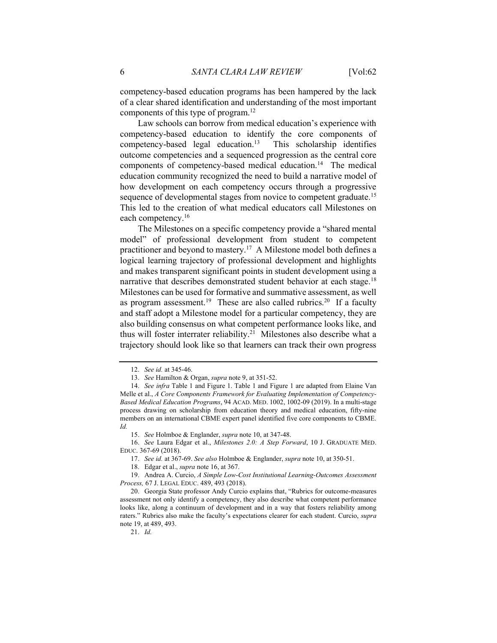competency-based education programs has been hampered by the lack of a clear shared identification and understanding of the most important components of this type of program.<sup>12</sup>

Law schools can borrow from medical education's experience with competency-based education to identify the core components of  $competency-based legal education.<sup>13</sup> This scholarship identifies$ outcome competencies and a sequenced progression as the central core components of competency-based medical education.<sup>14</sup> The medical education community recognized the need to build a narrative model of how development on each competency occurs through a progressive sequence of developmental stages from novice to competent graduate.<sup>15</sup> This led to the creation of what medical educators call Milestones on each competency.<sup>16</sup>

The Milestones on a specific competency provide a "shared mental model" of professional development from student to competent practitioner and beyond to mastery.<sup>17</sup> A Milestone model both defines a logical learning trajectory of professional development and highlights and makes transparent significant points in student development using a narrative that describes demonstrated student behavior at each stage.<sup>18</sup> Milestones can be used for formative and summative assessment, as well as program assessment.<sup>19</sup> These are also called rubrics.<sup>20</sup> If a faculty and staff adopt a Milestone model for a particular competency, they are also building consensus on what competent performance looks like, and thus will foster interrater reliability.<sup>21</sup> Milestones also describe what a trajectory should look like so that learners can track their own progress

<sup>12.</sup> See id. at 345-46.

<sup>13.</sup> See Hamilton & Organ, supra note 9, at 351-52.

<sup>14.</sup> See infra Table 1 and Figure 1. Table 1 and Figure 1 are adapted from Elaine Van Melle et al., A Core Components Framework for Evaluating Implementation of Competency-Based Medical Education Programs, 94 ACAD. MED. 1002, 1002-09 (2019). In a multi-stage process drawing on scholarship from education theory and medical education, fifty-nine members on an international CBME expert panel identified five core components to CBME. Id.

<sup>15.</sup> See Holmboe & Englander, supra note 10, at 347-48.

<sup>16.</sup> See Laura Edgar et al., Milestones 2.0: A Step Forward, 10 J. GRADUATE MED. EDUC. 367-69 (2018).

<sup>17.</sup> See id. at 367-69. See also Holmboe & Englander, supra note 10, at 350-51.

 <sup>18.</sup> Edgar et al., supra note 16, at 367.

 <sup>19.</sup> Andrea A. Curcio, A Simple Low-Cost Institutional Learning-Outcomes Assessment Process, 67 J. LEGAL EDUC. 489, 493 (2018).

 <sup>20.</sup> Georgia State professor Andy Curcio explains that, "Rubrics for outcome-measures assessment not only identify a competency, they also describe what competent performance looks like, along a continuum of development and in a way that fosters reliability among raters." Rubrics also make the faculty's expectations clearer for each student. Curcio, supra note 19, at 489, 493.

<sup>21.</sup> Id.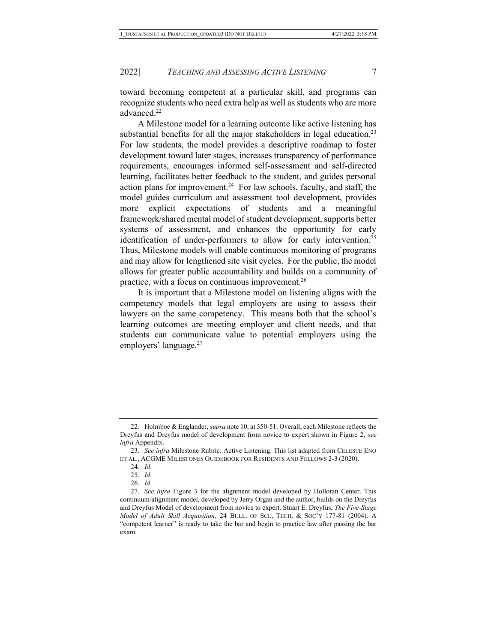toward becoming competent at a particular skill, and programs can recognize students who need extra help as well as students who are more advanced.<sup>22</sup>

A Milestone model for a learning outcome like active listening has substantial benefits for all the major stakeholders in legal education.<sup>23</sup> For law students, the model provides a descriptive roadmap to foster development toward later stages, increases transparency of performance requirements, encourages informed self-assessment and self-directed learning, facilitates better feedback to the student, and guides personal action plans for improvement.<sup>24</sup> For law schools, faculty, and staff, the model guides curriculum and assessment tool development, provides more explicit expectations of students and a meaningful framework/shared mental model of student development, supports better systems of assessment, and enhances the opportunity for early identification of under-performers to allow for early intervention.<sup>25</sup> Thus, Milestone models will enable continuous monitoring of programs and may allow for lengthened site visit cycles. For the public, the model allows for greater public accountability and builds on a community of practice, with a focus on continuous improvement.<sup>26</sup>

It is important that a Milestone model on listening aligns with the competency models that legal employers are using to assess their lawyers on the same competency. This means both that the school's learning outcomes are meeting employer and client needs, and that students can communicate value to potential employers using the employers' language.<sup>27</sup>

<sup>22.</sup> Holmboe & Englander, *supra* note 10, at 350-51. Overall, each Milestone reflects the Dreyfus and Dreyfus model of development from novice to expert shown in Figure 2, see infra Appendix.

<sup>23.</sup> See infra Milestone Rubric: Active Listening. This list adapted from CELESTE ENO ET AL., ACGME MILESTONES GUIDEBOOK FOR RESIDENTS AND FELLOWS 2-3 (2020).

<sup>24.</sup> Id.

<sup>25.</sup> Id.

<sup>26.</sup> Id.

<sup>27.</sup> See infra Figure 3 for the alignment model developed by Holloran Center. This continuum/alignment model, developed by Jerry Organ and the author, builds on the Dreyfus and Dreyfus Model of development from novice to expert. Stuart E. Dreyfus, The Five-Stage Model of Adult Skill Acquisition, 24 BULL. OF SCI., TECH. & SOC'Y 177-81 (2004). A "competent learner" is ready to take the bar and begin to practice law after passing the bar exam.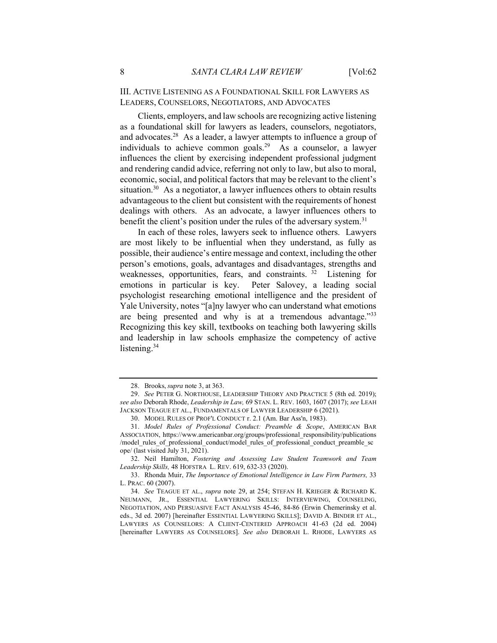III. ACTIVE LISTENING AS A FOUNDATIONAL SKILL FOR LAWYERS AS LEADERS, COUNSELORS, NEGOTIATORS, AND ADVOCATES

Clients, employers, and law schools are recognizing active listening as a foundational skill for lawyers as leaders, counselors, negotiators, and advocates.<sup>28</sup> As a leader, a lawyer attempts to influence a group of individuals to achieve common goals.<sup>29</sup> As a counselor, a lawyer influences the client by exercising independent professional judgment and rendering candid advice, referring not only to law, but also to moral, economic, social, and political factors that may be relevant to the client's situation.<sup>30</sup> As a negotiator, a lawyer influences others to obtain results advantageous to the client but consistent with the requirements of honest dealings with others. As an advocate, a lawyer influences others to benefit the client's position under the rules of the adversary system.<sup>31</sup>

In each of these roles, lawyers seek to influence others. Lawyers are most likely to be influential when they understand, as fully as possible, their audience's entire message and context, including the other person's emotions, goals, advantages and disadvantages, strengths and weaknesses, opportunities, fears, and constraints.<sup>32</sup> Listening for emotions in particular is key. Peter Salovey, a leading social psychologist researching emotional intelligence and the president of Yale University, notes "[a]ny lawyer who can understand what emotions are being presented and why is at a tremendous advantage."33 Recognizing this key skill, textbooks on teaching both lawyering skills and leadership in law schools emphasize the competency of active listening.<sup>34</sup>

<sup>28.</sup> Brooks, *supra* note 3, at 363.

<sup>29.</sup> See PETER G. NORTHOUSE, LEADERSHIP THEORY AND PRACTICE 5 (8th ed. 2019); see also Deborah Rhode, Leadership in Law, 69 STAN. L. REV. 1603, 1607 (2017); see LEAH JACKSON TEAGUE ET AL., FUNDAMENTALS OF LAWYER LEADERSHIP 6 (2021).

<sup>30.</sup> MODEL RULES OF PROF'L CONDUCT r. 2.1 (Am. Bar Ass'n, 1983).

<sup>31.</sup> Model Rules of Professional Conduct: Preamble & Scope, AMERICAN BAR ASSOCIATION, https://www.americanbar.org/groups/professional\_responsibility/publications /model\_rules\_of\_professional\_conduct/model\_rules\_of\_professional\_conduct\_preamble\_sc ope/ (last visited July 31, 2021).

 <sup>32.</sup> Neil Hamilton, Fostering and Assessing Law Student Teamwork and Team Leadership Skills, 48 HOFSTRA L. REV. 619, 632-33 (2020).

 <sup>33.</sup> Rhonda Muir, The Importance of Emotional Intelligence in Law Firm Partners, 33 L. PRAC. 60 (2007).

<sup>34.</sup> See TEAGUE ET AL., supra note 29, at 254; STEFAN H. KRIEGER & RICHARD K. NEUMANN, JR., ESSENTIAL LAWYERING SKILLS: INTERVIEWING, COUNSELING, NEGOTIATION, AND PERSUASIVE FACT ANALYSIS 45-46, 84-86 (Erwin Chemerinsky et al. eds., 3d ed. 2007) [hereinafter ESSENTIAL LAWYERING SKILLS]; DAVID A. BINDER ET AL., LAWYERS AS COUNSELORS: A CLIENT-CENTERED APPROACH 41-63 (2d ed. 2004) [hereinafter LAWYERS AS COUNSELORS]. See also DEBORAH L. RHODE, LAWYERS AS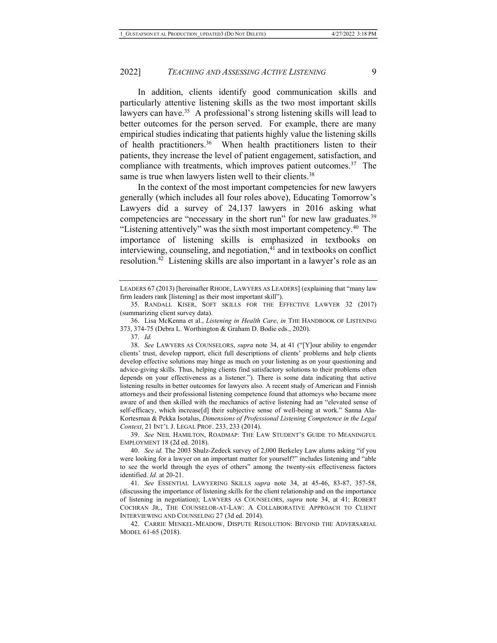In addition, clients identify good communication skills and particularly attentive listening skills as the two most important skills lawyers can have.<sup>35</sup> A professional's strong listening skills will lead to better outcomes for the person served. For example, there are many empirical studies indicating that patients highly value the listening skills of health practitioners.<sup>36</sup> When health practitioners listen to their patients, they increase the level of patient engagement, satisfaction, and compliance with treatments, which improves patient outcomes. $37$  The same is true when lawyers listen well to their clients.<sup>38</sup>

In the context of the most important competencies for new lawyers generally (which includes all four roles above), Educating Tomorrow's Lawyers did a survey of 24,137 lawyers in 2016 asking what competencies are "necessary in the short run" for new law graduates. $39$ "Listening attentively" was the sixth most important competency. $40$  The importance of listening skills is emphasized in textbooks on interviewing, counseling, and negotiation, $41$  and in textbooks on conflict resolution.<sup>42</sup> Listening skills are also important in a lawyer's role as an

39. See NEIL HAMILTON, ROADMAP: THE LAW STUDENT'S GUIDE TO MEANINGFUL EMPLOYMENT 18 (2d ed. 2018).

LEADERS 67 (2013) [hereinafter RHODE, LAWYERS AS LEADERS] (explaining that "many law firm leaders rank [listening] as their most important skill").

 <sup>35.</sup> RANDALL KISER, SOFT SKILLS FOR THE EFFECTIVE LAWYER 32 (2017) (summarizing client survey data).

<sup>36.</sup> Lisa McKenna et al., Listening in Health Care, in THE HANDBOOK OF LISTENING 373, 374-75 (Debra L. Worthington & Graham D. Bodie eds., 2020).

<sup>37.</sup> Id.

<sup>38.</sup> See LAWYERS AS COUNSELORS, supra note 34, at 41 ("[Y]our ability to engender clients' trust, develop rapport, elicit full descriptions of clients' problems and help clients develop effective solutions may hinge as much on your listening as on your questioning and advice-giving skills. Thus, helping clients find satisfactory solutions to their problems often depends on your effectiveness as a listener."). There is some data indicating that active listening results in better outcomes for lawyers also. A recent study of American and Finnish attorneys and their professional listening competence found that attorneys who became more aware of and then skilled with the mechanics of active listening had an "elevated sense of self-efficacy, which increase[d] their subjective sense of well-being at work." Sanna Ala-Kortesmaa & Pekka Isotalus, Dimensions of Professional Listening Competence in the Legal Context, 21 INT'L J. LEGAL PROF. 233, 233 (2014).

<sup>40.</sup> See id. The 2003 Shulz-Zedeck survey of 2,000 Berkeley Law alums asking "if you were looking for a lawyer on an important matter for yourself?" includes listening and "able to see the world through the eyes of others" among the twenty-six effectiveness factors identified. Id. at 20-21.

<sup>41.</sup> See ESSENTIAL LAWYERING SKILLS supra note 34, at 45-46, 83-87, 357-58, (discussing the importance of listening skills for the client relationship and on the importance of listening in negotiation); LAWYERS AS COUNSELORS, supra note 34, at 41; ROBERT COCHRAN JR., THE COUNSELOR-AT-LAW: A COLLABORATIVE APPROACH TO CLIENT INTERVIEWING AND COUNSELING 27 (3d ed. 2014).

 <sup>42.</sup> CARRIE MENKEL-MEADOW, DISPUTE RESOLUTION: BEYOND THE ADVERSARIAL MODEL 61-65 (2018).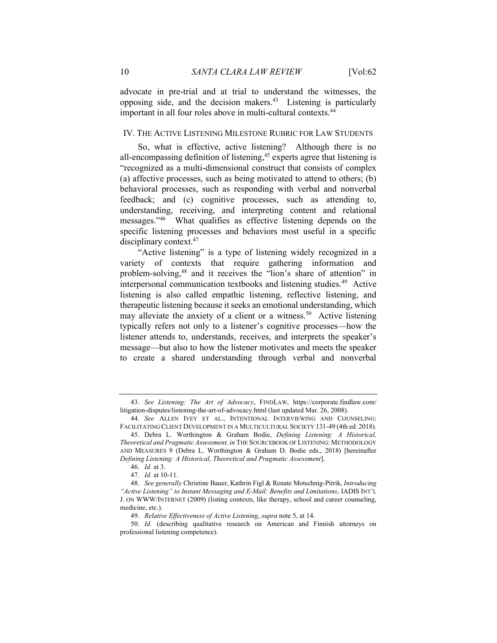advocate in pre-trial and at trial to understand the witnesses, the opposing side, and the decision makers.<sup>43</sup> Listening is particularly important in all four roles above in multi-cultural contexts.<sup>44</sup>

#### IV. THE ACTIVE LISTENING MILESTONE RUBRIC FOR LAW STUDENTS

So, what is effective, active listening? Although there is no all-encompassing definition of listening,<sup>45</sup> experts agree that listening is "recognized as a multi-dimensional construct that consists of complex (a) affective processes, such as being motivated to attend to others; (b) behavioral processes, such as responding with verbal and nonverbal feedback; and (c) cognitive processes, such as attending to, understanding, receiving, and interpreting content and relational messages."<sup>46</sup> What qualifies as effective listening depends on the specific listening processes and behaviors most useful in a specific disciplinary context.<sup>47</sup>

"Active listening" is a type of listening widely recognized in a variety of contexts that require gathering information and problem-solving,<sup>48</sup> and it receives the "lion's share of attention" in interpersonal communication textbooks and listening studies.<sup>49</sup> Active listening is also called empathic listening, reflective listening, and therapeutic listening because it seeks an emotional understanding, which may alleviate the anxiety of a client or a witness.<sup>50</sup> Active listening typically refers not only to a listener's cognitive processes—how the listener attends to, understands, receives, and interprets the speaker's message—but also to how the listener motivates and meets the speaker to create a shared understanding through verbal and nonverbal

<sup>43.</sup> See Listening: The Art of Advocacy, FINDLAW, https://corporate.findlaw.com/ litigation-disputes/listening-the-art-of-advocacy.html (last updated Mar. 26, 2008).

<sup>44.</sup> See ALLEN IVEY ET AL., INTENTIONAL INTERVIEWING AND COUNSELING: FACILITATING CLIENT DEVELOPMENT IN A MULTICULTURAL SOCIETY 131-49 (4th ed. 2018). 45. Debra L. Worthington & Graham Bodie, Defining Listening: A Historical,

Theoretical and Pragmatic Assessment, in THE SOURCEBOOK OF LISTENING: METHODOLOGY AND MEASURES 9 (Debra L. Worthington & Graham D. Bodie eds., 2018) [hereinafter Defining Listening: A Historical, Theoretical and Pragmatic Assessment].

<sup>46.</sup> Id. at 3.

<sup>47.</sup> Id. at 10-11.

<sup>48.</sup> See generally Christine Bauer, Kathrin Figl & Renate Motschnig-Pitrik, Introducing "Active Listening" to Instant Messaging and E-Mail: Benefits and Limitations, IADIS INT'L J. ON WWW/INTERNET (2009) (listing contexts, like therapy, school and career counseling, medicine, etc.).

<sup>49.</sup> Relative Effectiveness of Active Listening, supra note 5, at 14.

<sup>50.</sup> Id. (describing qualitative research on American and Finnish attorneys on professional listening competence).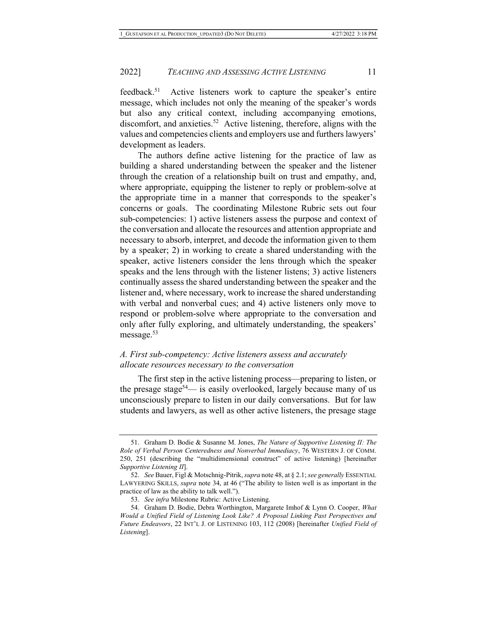feedback.<sup>51</sup> Active listeners work to capture the speaker's entire message, which includes not only the meaning of the speaker's words but also any critical context, including accompanying emotions, discomfort, and anxieties.<sup>52</sup> Active listening, therefore, aligns with the values and competencies clients and employers use and furthers lawyers' development as leaders.

The authors define active listening for the practice of law as building a shared understanding between the speaker and the listener through the creation of a relationship built on trust and empathy, and, where appropriate, equipping the listener to reply or problem-solve at the appropriate time in a manner that corresponds to the speaker's concerns or goals. The coordinating Milestone Rubric sets out four sub-competencies: 1) active listeners assess the purpose and context of the conversation and allocate the resources and attention appropriate and necessary to absorb, interpret, and decode the information given to them by a speaker; 2) in working to create a shared understanding with the speaker, active listeners consider the lens through which the speaker speaks and the lens through with the listener listens; 3) active listeners continually assess the shared understanding between the speaker and the listener and, where necessary, work to increase the shared understanding with verbal and nonverbal cues; and 4) active listeners only move to respond or problem-solve where appropriate to the conversation and only after fully exploring, and ultimately understanding, the speakers' message.<sup>53</sup>

## A. First sub-competency: Active listeners assess and accurately allocate resources necessary to the conversation

The first step in the active listening process—preparing to listen, or the presage stage<sup>54</sup>— is easily overlooked, largely because many of us unconsciously prepare to listen in our daily conversations. But for law students and lawyers, as well as other active listeners, the presage stage

<sup>51.</sup> Graham D. Bodie & Susanne M. Jones, The Nature of Supportive Listening II: The Role of Verbal Person Centeredness and Nonverbal Immediacy, 76 WESTERN J. OF COMM. 250, 251 (describing the "multidimensional construct" of active listening) [hereinafter Supportive Listening II].

<sup>52.</sup> See Bauer, Figl & Motschnig-Pitrik, supra note 48, at § 2.1; see generally ESSENTIAL LAWYERING SKILLS, supra note 34, at 46 ("The ability to listen well is as important in the practice of law as the ability to talk well.").

<sup>53.</sup> See infra Milestone Rubric: Active Listening.

<sup>54.</sup> Graham D. Bodie, Debra Worthington, Margarete Imhof & Lynn O. Cooper, What Would a Unified Field of Listening Look Like? A Proposal Linking Past Perspectives and Future Endeavors, 22 INT'L J. OF LISTENING 103, 112 (2008) [hereinafter Unified Field of Listening].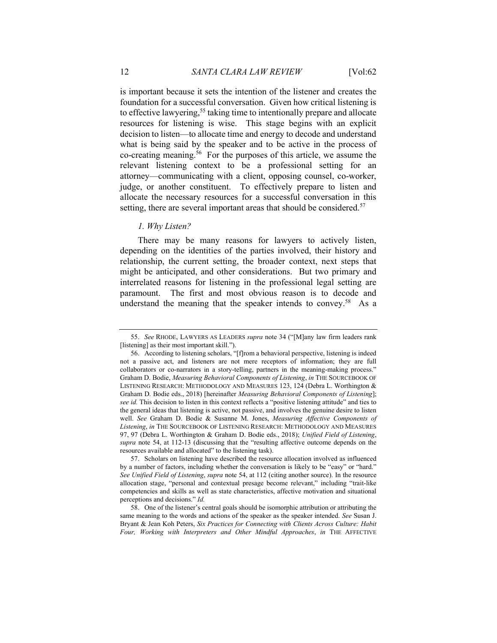is important because it sets the intention of the listener and creates the foundation for a successful conversation. Given how critical listening is to effective lawyering,<sup>55</sup> taking time to intentionally prepare and allocate resources for listening is wise. This stage begins with an explicit decision to listen—to allocate time and energy to decode and understand what is being said by the speaker and to be active in the process of co-creating meaning.<sup>56</sup> For the purposes of this article, we assume the relevant listening context to be a professional setting for an attorney—communicating with a client, opposing counsel, co-worker, judge, or another constituent. To effectively prepare to listen and allocate the necessary resources for a successful conversation in this setting, there are several important areas that should be considered.<sup>57</sup>

#### 1. Why Listen?

There may be many reasons for lawyers to actively listen, depending on the identities of the parties involved, their history and relationship, the current setting, the broader context, next steps that might be anticipated, and other considerations. But two primary and interrelated reasons for listening in the professional legal setting are paramount. The first and most obvious reason is to decode and understand the meaning that the speaker intends to convey.<sup>58</sup> As a

 <sup>55.</sup> See RHODE, LAWYERS AS LEADERS supra note 34 ("[M]any law firm leaders rank [listening] as their most important skill.").

 <sup>56.</sup> According to listening scholars, "[f]rom a behavioral perspective, listening is indeed not a passive act, and listeners are not mere receptors of information; they are full collaborators or co-narrators in a story-telling, partners in the meaning-making process." Graham D. Bodie, Measuring Behavioral Components of Listening, in THE SOURCEBOOK OF LISTENING RESEARCH: METHODOLOGY AND MEASURES 123, 124 (Debra L. Worthington & Graham D. Bodie eds., 2018) [hereinafter *Measuring Behavioral Components of Listening*]; see id. This decision to listen in this context reflects a "positive listening attitude" and ties to the general ideas that listening is active, not passive, and involves the genuine desire to listen well. See Graham D. Bodie & Susanne M. Jones, Measuring Affective Components of Listening, in THE SOURCEBOOK OF LISTENING RESEARCH: METHODOLOGY AND MEASURES 97, 97 (Debra L. Worthington & Graham D. Bodie eds., 2018); Unified Field of Listening, supra note 54, at 112-13 (discussing that the "resulting affective outcome depends on the resources available and allocated" to the listening task).

 <sup>57.</sup> Scholars on listening have described the resource allocation involved as influenced by a number of factors, including whether the conversation is likely to be "easy" or "hard." See Unified Field of Listening, supra note 54, at 112 (citing another source). In the resource allocation stage, "personal and contextual presage become relevant," including "trait-like competencies and skills as well as state characteristics, affective motivation and situational perceptions and decisions." Id.

 <sup>58.</sup> One of the listener's central goals should be isomorphic attribution or attributing the same meaning to the words and actions of the speaker as the speaker intended. See Susan J. Bryant & Jean Koh Peters, Six Practices for Connecting with Clients Across Culture: Habit Four, Working with Interpreters and Other Mindful Approaches, in THE AFFECTIVE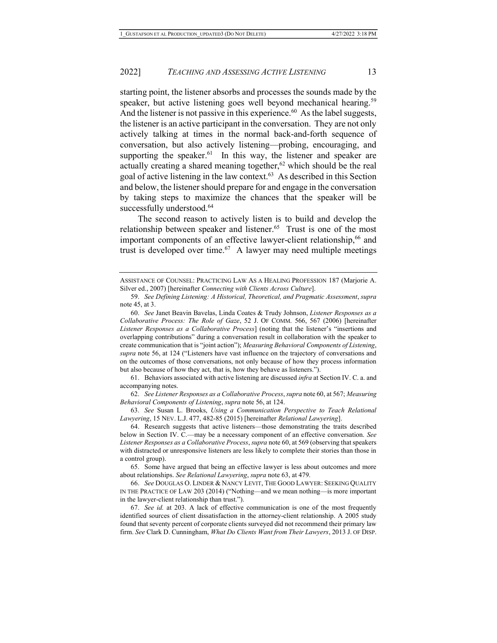starting point, the listener absorbs and processes the sounds made by the speaker, but active listening goes well beyond mechanical hearing.<sup>59</sup> And the listener is not passive in this experience. $60$  As the label suggests, the listener is an active participant in the conversation. They are not only actively talking at times in the normal back-and-forth sequence of conversation, but also actively listening—probing, encouraging, and supporting the speaker. $61$  In this way, the listener and speaker are actually creating a shared meaning together,  $62$  which should be the real goal of active listening in the law context.<sup>63</sup> As described in this Section and below, the listener should prepare for and engage in the conversation by taking steps to maximize the chances that the speaker will be successfully understood.<sup>64</sup>

The second reason to actively listen is to build and develop the relationship between speaker and listener.<sup>65</sup> Trust is one of the most important components of an effective lawyer-client relationship,<sup>66</sup> and trust is developed over time. $67$  A lawyer may need multiple meetings

 61. Behaviors associated with active listening are discussed infra at Section IV. C. a. and accompanying notes.

62. See Listener Responses as a Collaborative Process, supra note 60, at 567; Measuring Behavioral Components of Listening, supra note 56, at 124.

63. See Susan L. Brooks, Using a Communication Perspective to Teach Relational Lawyering, 15 NEV. L.J. 477, 482-85 (2015) [hereinafter Relational Lawyering].

 64. Research suggests that active listeners—those demonstrating the traits described below in Section IV. C.—may be a necessary component of an effective conversation. See Listener Responses as a Collaborative Process, supra note 60, at 569 (observing that speakers with distracted or unresponsive listeners are less likely to complete their stories than those in a control group).

 65. Some have argued that being an effective lawyer is less about outcomes and more about relationships. See Relational Lawyering, supra note 63, at 479.

66. See DOUGLAS O. LINDER & NANCY LEVIT, THE GOOD LAWYER: SEEKING QUALITY IN THE PRACTICE OF LAW 203 (2014) ("Nothing—and we mean nothing—is more important in the lawyer-client relationship than trust.").

67. See id. at 203. A lack of effective communication is one of the most frequently identified sources of client dissatisfaction in the attorney-client relationship. A 2005 study found that seventy percent of corporate clients surveyed did not recommend their primary law firm. See Clark D. Cunningham, What Do Clients Want from Their Lawyers, 2013 J. OF DISP.

ASSISTANCE OF COUNSEL: PRACTICING LAW AS A HEALING PROFESSION 187 (Marjorie A. Silver ed., 2007) [hereinafter Connecting with Clients Across Culture].

<sup>59.</sup> See Defining Listening: A Historical, Theoretical, and Pragmatic Assessment, supra note 45, at 3.

<sup>60.</sup> See Janet Beavin Bavelas, Linda Coates & Trudy Johnson, Listener Responses as a Collaborative Process: The Role of Gaze, 52 J. OF COMM. 566, 567 (2006) [hereinafter Listener Responses as a Collaborative Process] (noting that the listener's "insertions and overlapping contributions" during a conversation result in collaboration with the speaker to create communication that is "joint action"); Measuring Behavioral Components of Listening, supra note 56, at 124 ("Listeners have vast influence on the trajectory of conversations and on the outcomes of those conversations, not only because of how they process information but also because of how they act, that is, how they behave as listeners.").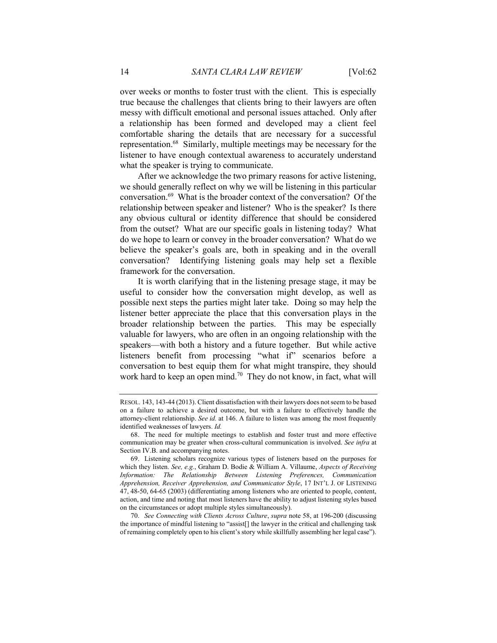over weeks or months to foster trust with the client. This is especially true because the challenges that clients bring to their lawyers are often messy with difficult emotional and personal issues attached. Only after a relationship has been formed and developed may a client feel comfortable sharing the details that are necessary for a successful representation.<sup>68</sup> Similarly, multiple meetings may be necessary for the listener to have enough contextual awareness to accurately understand what the speaker is trying to communicate.

After we acknowledge the two primary reasons for active listening, we should generally reflect on why we will be listening in this particular conversation.<sup>69</sup> What is the broader context of the conversation? Of the relationship between speaker and listener? Who is the speaker? Is there any obvious cultural or identity difference that should be considered from the outset? What are our specific goals in listening today? What do we hope to learn or convey in the broader conversation? What do we believe the speaker's goals are, both in speaking and in the overall conversation? Identifying listening goals may help set a flexible framework for the conversation.

It is worth clarifying that in the listening presage stage, it may be useful to consider how the conversation might develop, as well as possible next steps the parties might later take. Doing so may help the listener better appreciate the place that this conversation plays in the broader relationship between the parties. This may be especially valuable for lawyers, who are often in an ongoing relationship with the speakers—with both a history and a future together. But while active listeners benefit from processing "what if" scenarios before a conversation to best equip them for what might transpire, they should work hard to keep an open mind.<sup>70</sup> They do not know, in fact, what will

RESOL. 143, 143-44 (2013). Client dissatisfaction with their lawyers does not seem to be based on a failure to achieve a desired outcome, but with a failure to effectively handle the attorney-client relationship. See id. at 146. A failure to listen was among the most frequently identified weaknesses of lawyers. Id.

 <sup>68.</sup> The need for multiple meetings to establish and foster trust and more effective communication may be greater when cross-cultural communication is involved. See infra at Section IV.B. and accompanying notes.

 <sup>69.</sup> Listening scholars recognize various types of listeners based on the purposes for which they listen. See, e.g., Graham D. Bodie & William A. Villaume, Aspects of Receiving Information: The Relationship Between Listening Preferences, Communication Apprehension, Receiver Apprehension, and Communicator Style, 17 INT'L J. OF LISTENING 47, 48-50, 64-65 (2003) (differentiating among listeners who are oriented to people, content, action, and time and noting that most listeners have the ability to adjust listening styles based on the circumstances or adopt multiple styles simultaneously).

<sup>70.</sup> See Connecting with Clients Across Culture, supra note 58, at 196-200 (discussing the importance of mindful listening to "assist[] the lawyer in the critical and challenging task of remaining completely open to his client's story while skillfully assembling her legal case").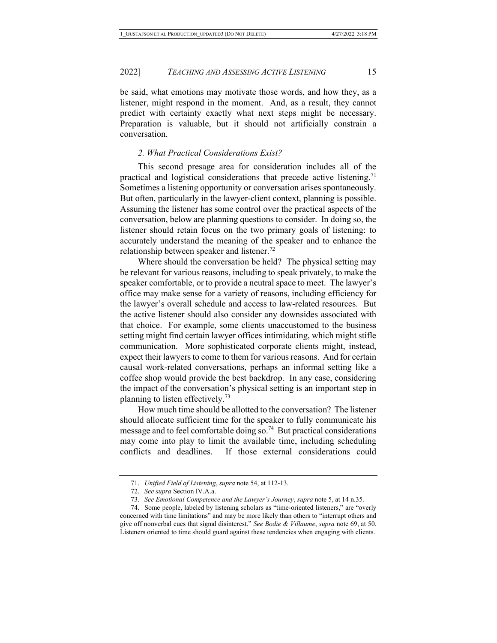be said, what emotions may motivate those words, and how they, as a listener, might respond in the moment. And, as a result, they cannot predict with certainty exactly what next steps might be necessary. Preparation is valuable, but it should not artificially constrain a conversation.

## 2. What Practical Considerations Exist?

This second presage area for consideration includes all of the practical and logistical considerations that precede active listening.<sup>71</sup> Sometimes a listening opportunity or conversation arises spontaneously. But often, particularly in the lawyer-client context, planning is possible. Assuming the listener has some control over the practical aspects of the conversation, below are planning questions to consider. In doing so, the listener should retain focus on the two primary goals of listening: to accurately understand the meaning of the speaker and to enhance the relationship between speaker and listener.<sup>72</sup>

Where should the conversation be held? The physical setting may be relevant for various reasons, including to speak privately, to make the speaker comfortable, or to provide a neutral space to meet. The lawyer's office may make sense for a variety of reasons, including efficiency for the lawyer's overall schedule and access to law-related resources. But the active listener should also consider any downsides associated with that choice. For example, some clients unaccustomed to the business setting might find certain lawyer offices intimidating, which might stifle communication. More sophisticated corporate clients might, instead, expect their lawyers to come to them for various reasons. And for certain causal work-related conversations, perhaps an informal setting like a coffee shop would provide the best backdrop. In any case, considering the impact of the conversation's physical setting is an important step in planning to listen effectively.<sup>73</sup>

How much time should be allotted to the conversation? The listener should allocate sufficient time for the speaker to fully communicate his message and to feel comfortable doing so.<sup>74</sup> But practical considerations may come into play to limit the available time, including scheduling conflicts and deadlines. If those external considerations could

<sup>71.</sup> Unified Field of Listening, supra note 54, at 112-13.

<sup>72.</sup> See supra Section IV.A.a.

<sup>73.</sup> See Emotional Competence and the Lawyer's Journey, supra note 5, at 14 n.35.

 <sup>74.</sup> Some people, labeled by listening scholars as "time-oriented listeners," are "overly concerned with time limitations" and may be more likely than others to "interrupt others and give off nonverbal cues that signal disinterest." See Bodie & Villaume, supra note 69, at 50. Listeners oriented to time should guard against these tendencies when engaging with clients.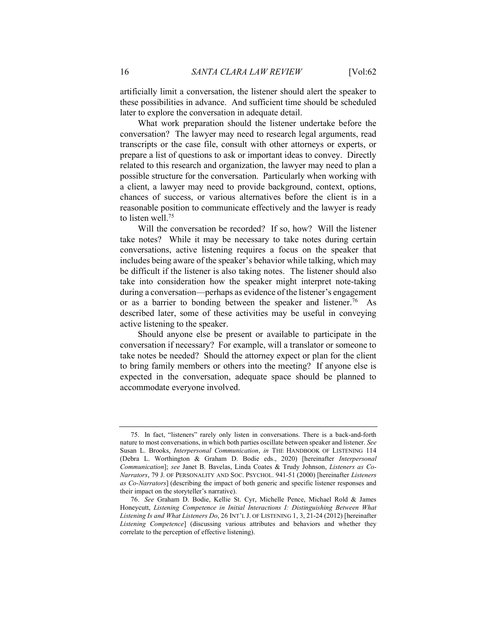artificially limit a conversation, the listener should alert the speaker to these possibilities in advance. And sufficient time should be scheduled later to explore the conversation in adequate detail.

What work preparation should the listener undertake before the conversation? The lawyer may need to research legal arguments, read transcripts or the case file, consult with other attorneys or experts, or prepare a list of questions to ask or important ideas to convey. Directly related to this research and organization, the lawyer may need to plan a possible structure for the conversation. Particularly when working with a client, a lawyer may need to provide background, context, options, chances of success, or various alternatives before the client is in a reasonable position to communicate effectively and the lawyer is ready to listen well.<sup>75</sup>

Will the conversation be recorded? If so, how? Will the listener take notes? While it may be necessary to take notes during certain conversations, active listening requires a focus on the speaker that includes being aware of the speaker's behavior while talking, which may be difficult if the listener is also taking notes. The listener should also take into consideration how the speaker might interpret note-taking during a conversation—perhaps as evidence of the listener's engagement or as a barrier to bonding between the speaker and listener.<sup>76</sup> As described later, some of these activities may be useful in conveying active listening to the speaker.

Should anyone else be present or available to participate in the conversation if necessary? For example, will a translator or someone to take notes be needed? Should the attorney expect or plan for the client to bring family members or others into the meeting? If anyone else is expected in the conversation, adequate space should be planned to accommodate everyone involved.

 <sup>75.</sup> In fact, "listeners" rarely only listen in conversations. There is a back-and-forth nature to most conversations, in which both parties oscillate between speaker and listener. See Susan L. Brooks, Interpersonal Communication, in THE HANDBOOK OF LISTENING 114 (Debra L. Worthington & Graham D. Bodie eds., 2020) [hereinafter Interpersonal Communication]; see Janet B. Bavelas, Linda Coates & Trudy Johnson, Listeners as Co-Narrators, 79 J. OF PERSONALITY AND SOC. PSYCHOL. 941-51 (2000) [hereinafter Listeners as Co-Narrators] (describing the impact of both generic and specific listener responses and their impact on the storyteller's narrative).

<sup>76.</sup> See Graham D. Bodie, Kellie St. Cyr, Michelle Pence, Michael Rold & James Honeycutt, Listening Competence in Initial Interactions I: Distinguishing Between What Listening Is and What Listeners Do, 26 INT'L J. OF LISTENING 1, 3, 21-24 (2012) [hereinafter Listening Competence] (discussing various attributes and behaviors and whether they correlate to the perception of effective listening).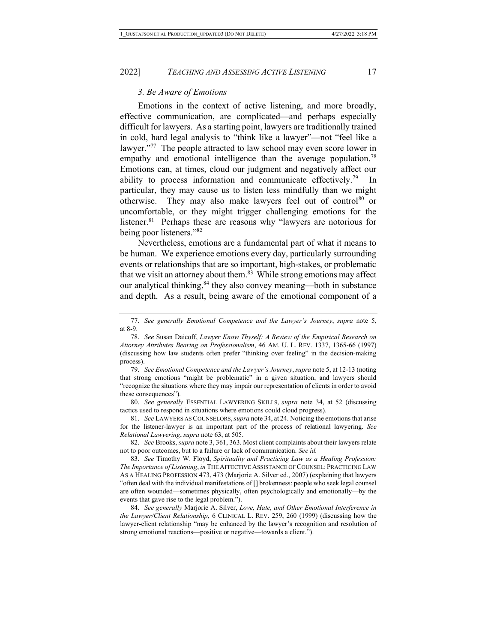#### 3. Be Aware of Emotions

Emotions in the context of active listening, and more broadly, effective communication, are complicated—and perhaps especially difficult for lawyers. As a starting point, lawyers are traditionally trained in cold, hard legal analysis to "think like a lawyer"—not "feel like a lawyer."<sup>77</sup> The people attracted to law school may even score lower in empathy and emotional intelligence than the average population.<sup>78</sup> Emotions can, at times, cloud our judgment and negatively affect our ability to process information and communicate effectively.<sup>79</sup> particular, they may cause us to listen less mindfully than we might otherwise. They may also make lawyers feel out of control<sup>80</sup> or uncomfortable, or they might trigger challenging emotions for the listener.<sup>81</sup> Perhaps these are reasons why "lawyers are notorious for being poor listeners."82

Nevertheless, emotions are a fundamental part of what it means to be human. We experience emotions every day, particularly surrounding events or relationships that are so important, high-stakes, or problematic that we visit an attorney about them. $83$  While strong emotions may affect our analytical thinking,<sup>84</sup> they also convey meaning—both in substance and depth. As a result, being aware of the emotional component of a

82. See Brooks, *supra* note 3, 361, 363. Most client complaints about their lawyers relate not to poor outcomes, but to a failure or lack of communication. See id.

<sup>77.</sup> See generally Emotional Competence and the Lawyer's Journey, supra note 5, at 8-9.

<sup>78.</sup> See Susan Daicoff, Lawyer Know Thyself: A Review of the Empirical Research on Attorney Attributes Bearing on Professionalism, 46 AM. U. L. REV. 1337, 1365-66 (1997) (discussing how law students often prefer "thinking over feeling" in the decision-making process).

<sup>79.</sup> See Emotional Competence and the Lawyer's Journey, supra note 5, at 12-13 (noting that strong emotions "might be problematic" in a given situation, and lawyers should "recognize the situations where they may impair our representation of clients in order to avoid these consequences").

<sup>80.</sup> See generally ESSENTIAL LAWYERING SKILLS, supra note 34, at 52 (discussing tactics used to respond in situations where emotions could cloud progress).

<sup>81.</sup> See LAWYERS AS COUNSELORS,supra note 34, at 24. Noticing the emotions that arise for the listener-lawyer is an important part of the process of relational lawyering. See Relational Lawyering, supra note 63, at 505.

<sup>83.</sup> See Timothy W. Floyd, Spirituality and Practicing Law as a Healing Profession: The Importance of Listening, in THE AFFECTIVE ASSISTANCE OF COUNSEL: PRACTICING LAW AS A HEALING PROFESSION 473, 473 (Marjorie A. Silver ed., 2007) (explaining that lawyers "often deal with the individual manifestations of [] brokenness: people who seek legal counsel are often wounded—sometimes physically, often psychologically and emotionally—by the events that gave rise to the legal problem.").

<sup>84.</sup> See generally Marjorie A. Silver, Love, Hate, and Other Emotional Interference in the Lawyer/Client Relationship, 6 CLINICAL L. REV. 259, 260 (1999) (discussing how the lawyer-client relationship "may be enhanced by the lawyer's recognition and resolution of strong emotional reactions—positive or negative—towards a client.").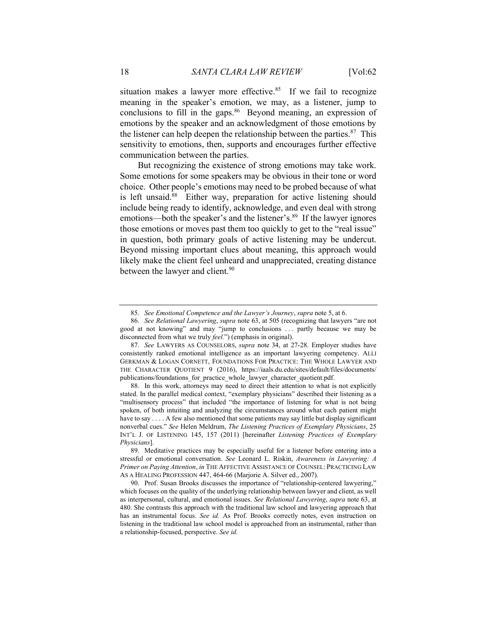situation makes a lawyer more effective.<sup>85</sup> If we fail to recognize meaning in the speaker's emotion, we may, as a listener, jump to conclusions to fill in the gaps. $86$  Beyond meaning, an expression of emotions by the speaker and an acknowledgment of those emotions by the listener can help deepen the relationship between the parties. $87$  This sensitivity to emotions, then, supports and encourages further effective communication between the parties.

But recognizing the existence of strong emotions may take work. Some emotions for some speakers may be obvious in their tone or word choice. Other people's emotions may need to be probed because of what is left unsaid.<sup>88</sup> Either way, preparation for active listening should include being ready to identify, acknowledge, and even deal with strong emotions—both the speaker's and the listener's.<sup>89</sup> If the lawyer ignores those emotions or moves past them too quickly to get to the "real issue" in question, both primary goals of active listening may be undercut. Beyond missing important clues about meaning, this approach would likely make the client feel unheard and unappreciated, creating distance between the lawyer and client.<sup>90</sup>

<sup>85.</sup> See Emotional Competence and the Lawyer's Journey, supra note 5, at 6.

<sup>86.</sup> See Relational Lawyering, supra note 63, at 505 (recognizing that lawyers "are not good at not knowing" and may "jump to conclusions . . . partly because we may be disconnected from what we truly feel.") (emphasis in original).

<sup>87.</sup> See LAWYERS AS COUNSELORS, *supra* note 34, at 27-28. Employer studies have consistently ranked emotional intelligence as an important lawyering competency. ALLI GERKMAN & LOGAN CORNETT, FOUNDATIONS FOR PRACTICE: THE WHOLE LAWYER AND THE CHARACTER QUOTIENT 9 (2016), https://iaals.du.edu/sites/default/files/documents/ publications/foundations\_for\_practice\_whole\_lawyer\_character\_quotient.pdf.

 <sup>88.</sup> In this work, attorneys may need to direct their attention to what is not explicitly stated. In the parallel medical context, "exemplary physicians" described their listening as a "multisensory process" that included "the importance of listening for what is not being spoken, of both intuiting and analyzing the circumstances around what each patient might have to say . . . . A few also mentioned that some patients may say little but display significant nonverbal cues." See Helen Meldrum, The Listening Practices of Exemplary Physicians, 25 INT'L J. OF LISTENING 145, 157 (2011) [hereinafter Listening Practices of Exemplary Physicians].

 <sup>89.</sup> Meditative practices may be especially useful for a listener before entering into a stressful or emotional conversation. See Leonard L. Riskin, Awareness in Lawyering: A Primer on Paying Attention, in THE AFFECTIVE ASSISTANCE OF COUNSEL: PRACTICING LAW AS A HEALING PROFESSION 447, 464-66 (Marjorie A. Silver ed., 2007).

 <sup>90.</sup> Prof. Susan Brooks discusses the importance of "relationship-centered lawyering," which focuses on the quality of the underlying relationship between lawyer and client, as well as interpersonal, cultural, and emotional issues. See Relational Lawyering, supra note 63, at 480. She contrasts this approach with the traditional law school and lawyering approach that has an instrumental focus. See id. As Prof. Brooks correctly notes, even instruction on listening in the traditional law school model is approached from an instrumental, rather than a relationship-focused, perspective. See id.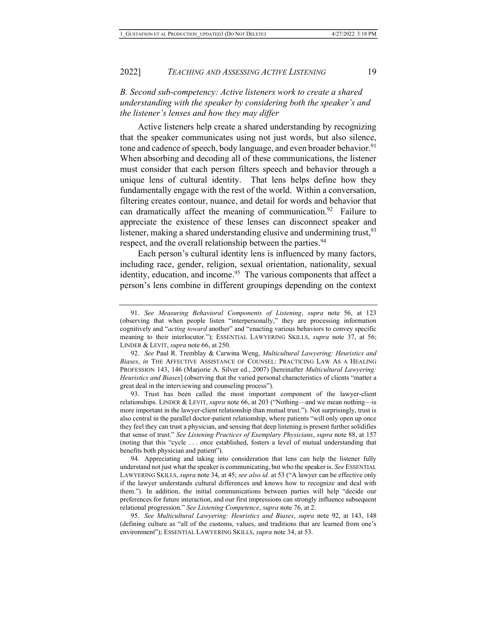## B. Second sub-competency: Active listeners work to create a shared understanding with the speaker by considering both the speaker's and the listener's lenses and how they may differ

Active listeners help create a shared understanding by recognizing that the speaker communicates using not just words, but also silence, tone and cadence of speech, body language, and even broader behavior.<sup>91</sup> When absorbing and decoding all of these communications, the listener must consider that each person filters speech and behavior through a unique lens of cultural identity. That lens helps define how they fundamentally engage with the rest of the world. Within a conversation, filtering creates contour, nuance, and detail for words and behavior that can dramatically affect the meaning of communication.<sup>92</sup> Failure to appreciate the existence of these lenses can disconnect speaker and listener, making a shared understanding elusive and undermining trust,  $93$ respect, and the overall relationship between the parties.<sup>94</sup>

Each person's cultural identity lens is influenced by many factors, including race, gender, religion, sexual orientation, nationality, sexual identity, education, and income.<sup>95</sup> The various components that affect a person's lens combine in different groupings depending on the context

 93. Trust has been called the most important component of the lawyer-client relationships. LINDER & LEVIT, supra note 66, at 203 ("Nothing—and we mean nothing—is more important in the lawyer-client relationship than mutual trust."). Not surprisingly, trust is also central in the parallel doctor-patient relationship, where patients "will only open up once they feel they can trust a physician, and sensing that deep listening is present further solidifies that sense of trust." See Listening Practices of Exemplary Physicians, supra note 88, at 157 (noting that this "cycle . . . once established, fosters a level of mutual understanding that benefits both physician and patient").

<sup>91.</sup> See Measuring Behavioral Components of Listening, supra note 56, at 123 (observing that when people listen "interpersonally," they are processing information cognitively and "acting toward another" and "enacting various behaviors to convey specific meaning to their interlocutor."); ESSENTIAL LAWYERING SKILLS, supra note 37, at 56; LINDER & LEVIT, supra note 66, at 250.

<sup>92.</sup> See Paul R. Tremblay & Carwina Weng, Multicultural Lawyering: Heuristics and Biases, in THE AFFECTIVE ASSISTANCE OF COUNSEL: PRACTICING LAW AS A HEALING PROFESSION 143, 146 (Marjorie A. Silver ed., 2007) [hereinafter Multicultural Lawyering: Heuristics and Biases] (observing that the varied personal characteristics of clients "matter a great deal in the interviewing and counseling process").

 <sup>94.</sup> Appreciating and taking into consideration that lens can help the listener fully understand not just what the speaker is communicating, but who the speaker is. See ESSENTIAL LAWYERING SKILLS, *supra* note 34, at 45; see also id. at 53 ("A lawyer can be effective only if the lawyer understands cultural differences and knows how to recognize and deal with them."). In addition, the initial communications between parties will help "decide our preferences for future interaction, and our first impressions can strongly influence subsequent relational progression." See Listening Competence, supra note 76, at 2.

<sup>95.</sup> See Multicultural Lawyering: Heuristics and Biases, supra note 92, at 143, 148 (defining culture as "all of the customs, values, and traditions that are learned from one's environment"); ESSENTIAL LAWYERING SKILLS, supra note 34, at 53.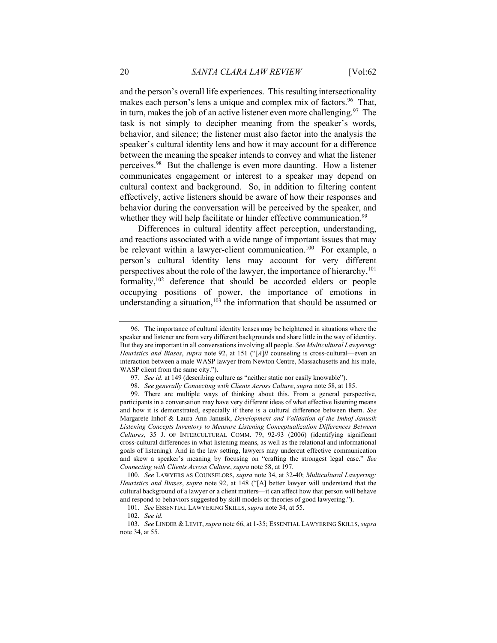and the person's overall life experiences. This resulting intersectionality makes each person's lens a unique and complex mix of factors.<sup>96</sup> That, in turn, makes the job of an active listener even more challenging.<sup>97</sup> The task is not simply to decipher meaning from the speaker's words, behavior, and silence; the listener must also factor into the analysis the speaker's cultural identity lens and how it may account for a difference between the meaning the speaker intends to convey and what the listener perceives.<sup>98</sup> But the challenge is even more daunting. How a listener communicates engagement or interest to a speaker may depend on cultural context and background. So, in addition to filtering content effectively, active listeners should be aware of how their responses and behavior during the conversation will be perceived by the speaker, and whether they will help facilitate or hinder effective communication.<sup>99</sup>

Differences in cultural identity affect perception, understanding, and reactions associated with a wide range of important issues that may be relevant within a lawyer-client communication.<sup>100</sup> For example, a person's cultural identity lens may account for very different perspectives about the role of the lawyer, the importance of hierarchy, $101$ formality,<sup>102</sup> deference that should be accorded elders or people occupying positions of power, the importance of emotions in understanding a situation,<sup>103</sup> the information that should be assumed or

 <sup>96.</sup> The importance of cultural identity lenses may be heightened in situations where the speaker and listener are from very different backgrounds and share little in the way of identity. But they are important in all conversations involving all people. See Multicultural Lawyering: Heuristics and Biases, supra note 92, at 151 ("[A]ll counseling is cross-cultural—even an interaction between a male WASP lawyer from Newton Centre, Massachusetts and his male, WASP client from the same city.").

<sup>97.</sup> See id. at 149 (describing culture as "neither static nor easily knowable").

<sup>98.</sup> See generally Connecting with Clients Across Culture, supra note 58, at 185.

 <sup>99.</sup> There are multiple ways of thinking about this. From a general perspective, participants in a conversation may have very different ideas of what effective listening means and how it is demonstrated, especially if there is a cultural difference between them. See Margarete Inhof & Laura Ann Janusik, Development and Validation of the Imhof-Janusik Listening Concepts Inventory to Measure Listening Conceptualization Differences Between Cultures, 35 J. OF INTERCULTURAL COMM. 79, 92-93 (2006) (identifying significant cross-cultural differences in what listening means, as well as the relational and informational goals of listening). And in the law setting, lawyers may undercut effective communication and skew a speaker's meaning by focusing on "crafting the strongest legal case." See Connecting with Clients Across Culture, supra note 58, at 197.

<sup>100.</sup> See LAWYERS AS COUNSELORS, supra note 34, at 32-40; Multicultural Lawyering: Heuristics and Biases, supra note 92, at 148 ("[A] better lawyer will understand that the cultural background of a lawyer or a client matters—it can affect how that person will behave and respond to behaviors suggested by skill models or theories of good lawyering.").

<sup>101.</sup> See ESSENTIAL LAWYERING SKILLS, supra note 34, at 55.

<sup>102.</sup> See id.

<sup>103.</sup> See LINDER & LEVIT, supra note 66, at 1-35; ESSENTIAL LAWYERING SKILLS, supra note 34, at 55.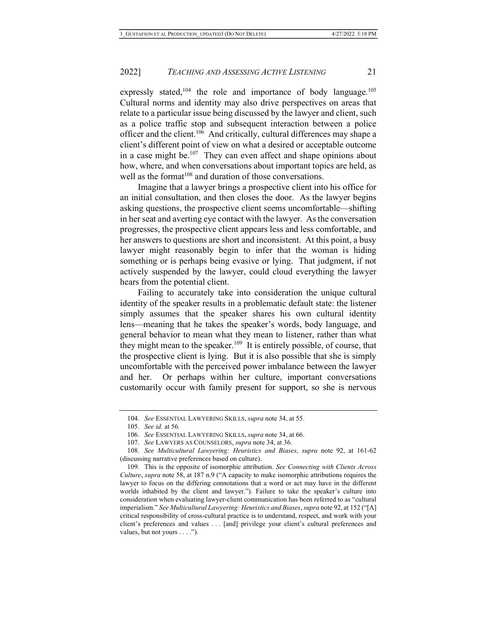expressly stated,  $104$  the role and importance of body language.  $105$ Cultural norms and identity may also drive perspectives on areas that relate to a particular issue being discussed by the lawyer and client, such as a police traffic stop and subsequent interaction between a police officer and the client.<sup>106</sup> And critically, cultural differences may shape a client's different point of view on what a desired or acceptable outcome in a case might be. $107$  They can even affect and shape opinions about how, where, and when conversations about important topics are held, as well as the format<sup>108</sup> and duration of those conversations.

Imagine that a lawyer brings a prospective client into his office for an initial consultation, and then closes the door. As the lawyer begins asking questions, the prospective client seems uncomfortable—shifting in her seat and averting eye contact with the lawyer. As the conversation progresses, the prospective client appears less and less comfortable, and her answers to questions are short and inconsistent. At this point, a busy lawyer might reasonably begin to infer that the woman is hiding something or is perhaps being evasive or lying. That judgment, if not actively suspended by the lawyer, could cloud everything the lawyer hears from the potential client.

Failing to accurately take into consideration the unique cultural identity of the speaker results in a problematic default state: the listener simply assumes that the speaker shares his own cultural identity lens—meaning that he takes the speaker's words, body language, and general behavior to mean what they mean to listener, rather than what they might mean to the speaker.<sup>109</sup> It is entirely possible, of course, that the prospective client is lying. But it is also possible that she is simply uncomfortable with the perceived power imbalance between the lawyer and her. Or perhaps within her culture, important conversations customarily occur with family present for support, so she is nervous

<sup>104.</sup> See ESSENTIAL LAWYERING SKILLS, supra note 34, at 55.

<sup>105.</sup> See id. at 56.

<sup>106.</sup> See ESSENTIAL LAWYERING SKILLS, supra note 34, at 66.

<sup>107.</sup> See LAWYERS AS COUNSELORS, supra note 34, at 36.

<sup>108.</sup> See Multicultural Lawyering: Heuristics and Biases, supra note 92, at 161-62 (discussing narrative preferences based on culture).

 <sup>109.</sup> This is the opposite of isomorphic attribution. See Connecting with Clients Across Culture, supra note 58, at 187 n.9 ("A capacity to make isomorphic attributions requires the lawyer to focus on the differing connotations that a word or act may have in the different worlds inhabited by the client and lawyer."). Failure to take the speaker's culture into consideration when evaluating lawyer-client communication has been referred to as "cultural imperialism." See Multicultural Lawyering: Heuristics and Biases, supra note 92, at 152 ("[A] critical responsibility of cross-cultural practice is to understand, respect, and work with your client's preferences and values . . . [and] privilege your client's cultural preferences and values, but not yours . . . .").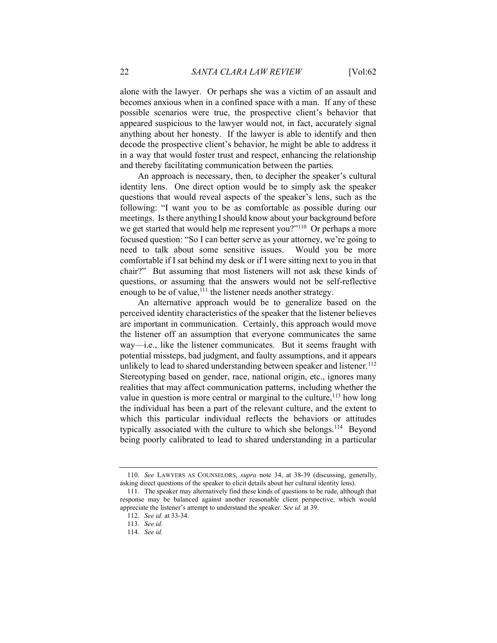alone with the lawyer. Or perhaps she was a victim of an assault and becomes anxious when in a confined space with a man. If any of these possible scenarios were true, the prospective client's behavior that appeared suspicious to the lawyer would not, in fact, accurately signal anything about her honesty. If the lawyer is able to identify and then decode the prospective client's behavior, he might be able to address it in a way that would foster trust and respect, enhancing the relationship and thereby facilitating communication between the parties.

An approach is necessary, then, to decipher the speaker's cultural identity lens. One direct option would be to simply ask the speaker questions that would reveal aspects of the speaker's lens, such as the following: "I want you to be as comfortable as possible during our meetings. Is there anything I should know about your background before we get started that would help me represent you?"<sup>110</sup> Or perhaps a more focused question: "So I can better serve as your attorney, we're going to need to talk about some sensitive issues. Would you be more comfortable if I sat behind my desk or if I were sitting next to you in that chair?" But assuming that most listeners will not ask these kinds of questions, or assuming that the answers would not be self-reflective enough to be of value, $111$  the listener needs another strategy.

An alternative approach would be to generalize based on the perceived identity characteristics of the speaker that the listener believes are important in communication. Certainly, this approach would move the listener off an assumption that everyone communicates the same way—i.e., like the listener communicates. But it seems fraught with potential missteps, bad judgment, and faulty assumptions, and it appears unlikely to lead to shared understanding between speaker and listener.<sup>112</sup> Stereotyping based on gender, race, national origin, etc., ignores many realities that may affect communication patterns, including whether the value in question is more central or marginal to the culture,  $113$  how long the individual has been a part of the relevant culture, and the extent to which this particular individual reflects the behaviors or attitudes typically associated with the culture to which she belongs.<sup>114</sup> Beyond being poorly calibrated to lead to shared understanding in a particular

<sup>110.</sup> See LAWYERS AS COUNSELORS, supra note 34, at 38-39 (discussing, generally, asking direct questions of the speaker to elicit details about her cultural identity lens).

 <sup>111.</sup> The speaker may alternatively find these kinds of questions to be rude, although that response may be balanced against another reasonable client perspective, which would appreciate the listener's attempt to understand the speaker. See id. at 39.

<sup>112.</sup> See id. at 33-34.

<sup>113.</sup> See id.

<sup>114.</sup> See id.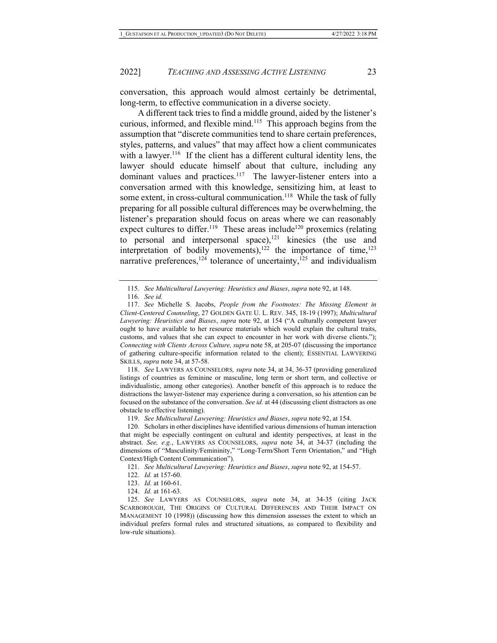conversation, this approach would almost certainly be detrimental, long-term, to effective communication in a diverse society.

A different tack tries to find a middle ground, aided by the listener's curious, informed, and flexible mind.<sup>115</sup> This approach begins from the assumption that "discrete communities tend to share certain preferences, styles, patterns, and values" that may affect how a client communicates with a lawyer.<sup>116</sup> If the client has a different cultural identity lens, the lawyer should educate himself about that culture, including any dominant values and practices.<sup>117</sup> The lawyer-listener enters into a conversation armed with this knowledge, sensitizing him, at least to some extent, in cross-cultural communication.<sup>118</sup> While the task of fully preparing for all possible cultural differences may be overwhelming, the listener's preparation should focus on areas where we can reasonably expect cultures to differ.<sup>119</sup> These areas include<sup>120</sup> proxemics (relating to personal and interpersonal space),<sup>121</sup> kinesics (the use and interpretation of bodily movements),<sup>122</sup> the importance of time,<sup>123</sup> narrative preferences,  $124$  tolerance of uncertainty,  $125$  and individualism

118. See LAWYERS AS COUNSELORS, supra note 34, at 34, 36-37 (providing generalized listings of countries as feminine or masculine, long term or short term, and collective or individualistic, among other categories). Another benefit of this approach is to reduce the distractions the lawyer-listener may experience during a conversation, so his attention can be focused on the substance of the conversation. See id. at 44 (discussing client distractors as one obstacle to effective listening).

119. See Multicultural Lawyering: Heuristics and Biases, supra note 92, at 154.

 120. Scholars in other disciplines have identified various dimensions of human interaction that might be especially contingent on cultural and identity perspectives, at least in the abstract. See, e.g., LAWYERS AS COUNSELORS, supra note 34, at 34-37 (including the dimensions of "Masculinity/Femininity," "Long-Term/Short Term Orientation," and "High Context/High Content Communication").

121. See Multicultural Lawyering: Heuristics and Biases, supra note 92, at 154-57.

122. Id. at 157-60.

124. Id. at 161-63.

125. See LAWYERS AS COUNSELORS, supra note 34, at 34-35 (citing JACK SCARBOROUGH, THE ORIGINS OF CULTURAL DIFFERENCES AND THEIR IMPACT ON MANAGEMENT 10 (1998)) (discussing how this dimension assesses the extent to which an individual prefers formal rules and structured situations, as compared to flexibility and low-rule situations).

<sup>115.</sup> See Multicultural Lawyering: Heuristics and Biases, supra note 92, at 148.

<sup>116.</sup> See id.

<sup>117.</sup> See Michelle S. Jacobs, People from the Footnotes: The Missing Element in Client-Centered Counseling, 27 GOLDEN GATE U. L. REV. 345, 18-19 (1997); Multicultural Lawyering: Heuristics and Biases, supra note 92, at 154 ("A culturally competent lawyer ought to have available to her resource materials which would explain the cultural traits, customs, and values that she can expect to encounter in her work with diverse clients."); Connecting with Clients Across Culture, supra note 58, at 205-07 (discussing the importance of gathering culture-specific information related to the client); ESSENTIAL LAWYERING SKILLS, supra note 34, at 57-58.

<sup>123.</sup> Id. at 160-61.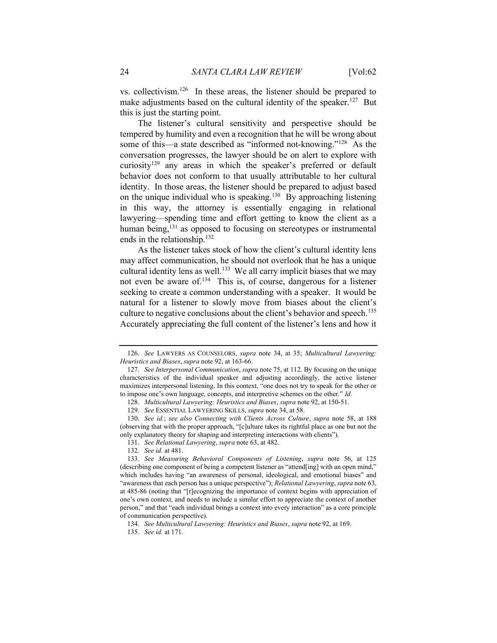vs. collectivism.<sup>126</sup> In these areas, the listener should be prepared to make adjustments based on the cultural identity of the speaker.<sup>127</sup> But this is just the starting point.

The listener's cultural sensitivity and perspective should be tempered by humility and even a recognition that he will be wrong about some of this—a state described as "informed not-knowing."<sup>128</sup> As the conversation progresses, the lawyer should be on alert to explore with curiosity<sup>129</sup> any areas in which the speaker's preferred or default behavior does not conform to that usually attributable to her cultural identity. In those areas, the listener should be prepared to adjust based on the unique individual who is speaking.<sup>130</sup> By approaching listening in this way, the attorney is essentially engaging in relational lawyering—spending time and effort getting to know the client as a human being,<sup>131</sup> as opposed to focusing on stereotypes or instrumental ends in the relationship.<sup>132</sup>

As the listener takes stock of how the client's cultural identity lens may affect communication, he should not overlook that he has a unique cultural identity lens as well.<sup>133</sup> We all carry implicit biases that we may not even be aware of.<sup>134</sup> This is, of course, dangerous for a listener seeking to create a common understanding with a speaker. It would be natural for a listener to slowly move from biases about the client's culture to negative conclusions about the client's behavior and speech.<sup>135</sup> Accurately appreciating the full content of the listener's lens and how it

<sup>126.</sup> See LAWYERS AS COUNSELORS, supra note 34, at 35; Multicultural Lawyering: Heuristics and Biases, supra note 92, at 163-66.

<sup>127.</sup> See Interpersonal Communication, supra note 75, at 112. By focusing on the unique characteristics of the individual speaker and adjusting accordingly, the active listener maximizes interpersonal listening. In this context, "one does not try to speak for the other or to impose one's own language, concepts, and interpretive schemes on the other." Id.

<sup>128.</sup> Multicultural Lawyering: Heuristics and Biases, supra note 92, at 150-51.

<sup>129.</sup> See ESSENTIAL LAWYERING SKILLS, supra note 34, at 58.

<sup>130.</sup> See id.; see also Connecting with Clients Across Culture, supra note 58, at 188 (observing that with the proper approach, "[c]ulture takes its rightful place as one but not the only explanatory theory for shaping and interpreting interactions with clients").

<sup>131.</sup> See Relational Lawyering, supra note 63, at 482.

<sup>132.</sup> See id. at 481.

<sup>133.</sup> See Measuring Behavioral Components of Listening, supra note 56, at 125 (describing one component of being a competent listener as "attend[ing] with an open mind," which includes having "an awareness of personal, ideological, and emotional biases" and "awareness that each person has a unique perspective"); Relational Lawyering, supra note 63, at 485-86 (noting that "[r]ecognizing the importance of context begins with appreciation of one's own context, and needs to include a similar effort to appreciate the context of another person," and that "each individual brings a context into every interaction" as a core principle of communication perspective).

<sup>134.</sup> See Multicultural Lawyering: Heuristics and Biases, supra note 92, at 169.

<sup>135.</sup> See id. at 171.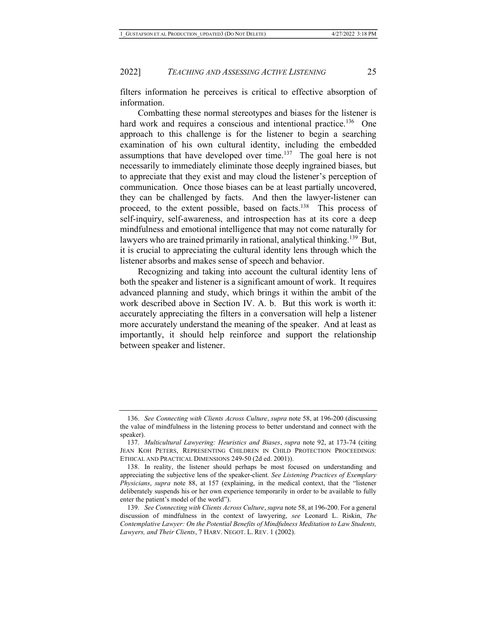filters information he perceives is critical to effective absorption of information.

Combatting these normal stereotypes and biases for the listener is hard work and requires a conscious and intentional practice.<sup>136</sup> One approach to this challenge is for the listener to begin a searching examination of his own cultural identity, including the embedded assumptions that have developed over time.<sup>137</sup> The goal here is not necessarily to immediately eliminate those deeply ingrained biases, but to appreciate that they exist and may cloud the listener's perception of communication. Once those biases can be at least partially uncovered, they can be challenged by facts. And then the lawyer-listener can proceed, to the extent possible, based on facts.<sup>138</sup> This process of self-inquiry, self-awareness, and introspection has at its core a deep mindfulness and emotional intelligence that may not come naturally for lawyers who are trained primarily in rational, analytical thinking.<sup>139</sup> But, it is crucial to appreciating the cultural identity lens through which the listener absorbs and makes sense of speech and behavior.

Recognizing and taking into account the cultural identity lens of both the speaker and listener is a significant amount of work. It requires advanced planning and study, which brings it within the ambit of the work described above in Section IV. A. b. But this work is worth it: accurately appreciating the filters in a conversation will help a listener more accurately understand the meaning of the speaker. And at least as importantly, it should help reinforce and support the relationship between speaker and listener.

<sup>136.</sup> See Connecting with Clients Across Culture, supra note 58, at 196-200 (discussing the value of mindfulness in the listening process to better understand and connect with the speaker).

<sup>137.</sup> Multicultural Lawyering: Heuristics and Biases, supra note 92, at 173-74 (citing JEAN KOH PETERS, REPRESENTING CHILDREN IN CHILD PROTECTION PROCEEDINGS: ETHICAL AND PRACTICAL DIMENSIONS 249-50 (2d ed. 2001)).

 <sup>138.</sup> In reality, the listener should perhaps be most focused on understanding and appreciating the subjective lens of the speaker-client. See Listening Practices of Exemplary Physicians, supra note 88, at 157 (explaining, in the medical context, that the "listener deliberately suspends his or her own experience temporarily in order to be available to fully enter the patient's model of the world").

<sup>139.</sup> See Connecting with Clients Across Culture, supra note 58, at 196-200. For a general discussion of mindfulness in the context of lawyering, see Leonard L. Riskin, The Contemplative Lawyer: On the Potential Benefits of Mindfulness Meditation to Law Students, Lawyers, and Their Clients, 7 HARV. NEGOT. L. REV. 1 (2002).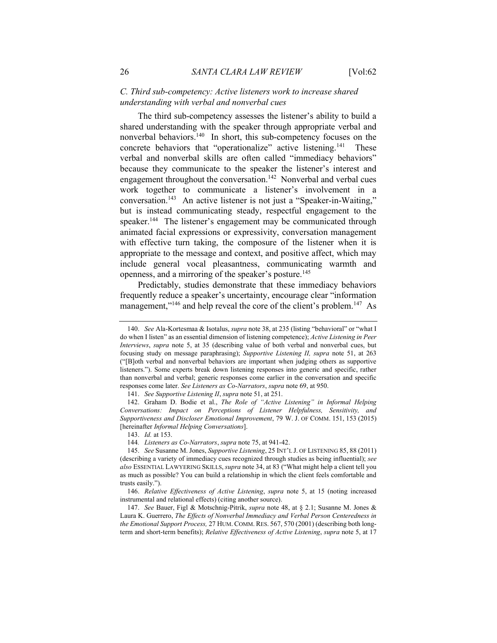## C. Third sub-competency: Active listeners work to increase shared understanding with verbal and nonverbal cues

The third sub-competency assesses the listener's ability to build a shared understanding with the speaker through appropriate verbal and nonverbal behaviors.<sup>140</sup> In short, this sub-competency focuses on the concrete behaviors that "operationalize" active listening.<sup>141</sup> These verbal and nonverbal skills are often called "immediacy behaviors" because they communicate to the speaker the listener's interest and engagement throughout the conversation.<sup>142</sup> Nonverbal and verbal cues work together to communicate a listener's involvement in a conversation.<sup>143</sup> An active listener is not just a "Speaker-in-Waiting," but is instead communicating steady, respectful engagement to the speaker.<sup>144</sup> The listener's engagement may be communicated through animated facial expressions or expressivity, conversation management with effective turn taking, the composure of the listener when it is appropriate to the message and context, and positive affect, which may include general vocal pleasantness, communicating warmth and openness, and a mirroring of the speaker's posture.<sup>145</sup>

Predictably, studies demonstrate that these immediacy behaviors frequently reduce a speaker's uncertainty, encourage clear "information management,"<sup>146</sup> and help reveal the core of the client's problem.<sup>147</sup> As

<sup>140.</sup> See Ala-Kortesmaa & Isotalus, supra note 38, at 235 (listing "behavioral" or "what I do when I listen" as an essential dimension of listening competence); Active Listening in Peer Interviews, supra note 5, at 35 (describing value of both verbal and nonverbal cues, but focusing study on message paraphrasing); Supportive Listening II, supra note 51, at 263 ("[B]oth verbal and nonverbal behaviors are important when judging others as supportive listeners."). Some experts break down listening responses into generic and specific, rather than nonverbal and verbal; generic responses come earlier in the conversation and specific responses come later. See Listeners as Co-Narrators, supra note 69, at 950.

<sup>141.</sup> See Supportive Listening II, supra note 51, at 251.

 <sup>142.</sup> Graham D. Bodie et al., The Role of "Active Listening" in Informal Helping Conversations: Impact on Perceptions of Listener Helpfulness, Sensitivity, and Supportiveness and Discloser Emotional Improvement, 79 W. J. OF COMM. 151, 153 (2015) [hereinafter *Informal Helping Conversations*].

<sup>143.</sup> Id. at 153.

 <sup>144</sup>. Listeners as Co-Narrators, supra note 75, at 941-42.

<sup>145.</sup> See Susanne M. Jones, Supportive Listening, 25 INT'L J. OF LISTENING 85, 88 (2011) (describing a variety of immediacy cues recognized through studies as being influential); see also ESSENTIAL LAWYERING SKILLS, supra note 34, at 83 ("What might help a client tell you as much as possible? You can build a relationship in which the client feels comfortable and trusts easily.").

<sup>146.</sup> Relative Effectiveness of Active Listening, supra note 5, at 15 (noting increased instrumental and relational effects) (citing another source).

<sup>147.</sup> See Bauer, Figl & Motschnig-Pitrik, supra note 48, at § 2.1; Susanne M. Jones & Laura K. Guerrero, The Effects of Nonverbal Immediacy and Verbal Person Centeredness in the Emotional Support Process, 27 HUM. COMM. RES. 567, 570 (2001) (describing both longterm and short-term benefits); Relative Effectiveness of Active Listening, supra note 5, at 17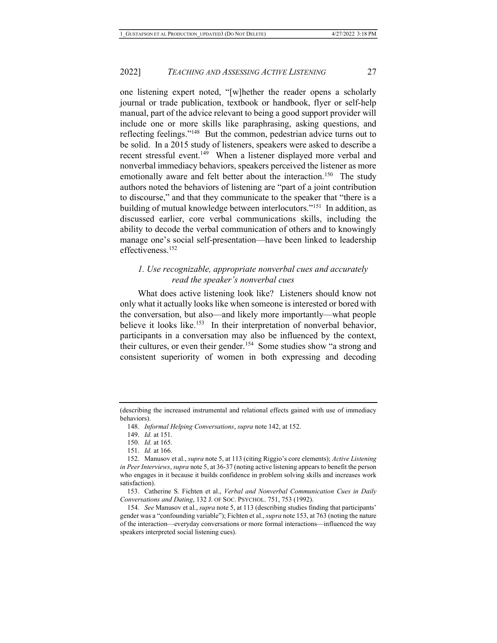one listening expert noted, "[w]hether the reader opens a scholarly journal or trade publication, textbook or handbook, flyer or self-help manual, part of the advice relevant to being a good support provider will include one or more skills like paraphrasing, asking questions, and reflecting feelings."<sup>148</sup> But the common, pedestrian advice turns out to be solid. In a 2015 study of listeners, speakers were asked to describe a recent stressful event.<sup>149</sup> When a listener displayed more verbal and nonverbal immediacy behaviors, speakers perceived the listener as more emotionally aware and felt better about the interaction.<sup>150</sup> The study authors noted the behaviors of listening are "part of a joint contribution to discourse," and that they communicate to the speaker that "there is a building of mutual knowledge between interlocutors."<sup>151</sup> In addition, as discussed earlier, core verbal communications skills, including the ability to decode the verbal communication of others and to knowingly manage one's social self-presentation—have been linked to leadership effectiveness.<sup>152</sup>

## 1. Use recognizable, appropriate nonverbal cues and accurately read the speaker's nonverbal cues

What does active listening look like? Listeners should know not only what it actually looks like when someone is interested or bored with the conversation, but also—and likely more importantly—what people believe it looks like.<sup>153</sup> In their interpretation of nonverbal behavior, participants in a conversation may also be influenced by the context, their cultures, or even their gender.<sup>154</sup> Some studies show "a strong and consistent superiority of women in both expressing and decoding

<sup>(</sup>describing the increased instrumental and relational effects gained with use of immediacy behaviors).

<sup>148.</sup> Informal Helping Conversations, supra note 142, at 152.

<sup>149.</sup> Id. at 151.

<sup>150.</sup> Id. at 165.

<sup>151.</sup> Id. at 166.

 <sup>152.</sup> Manusov et al., supra note 5, at 113 (citing Riggio's core elements); Active Listening in Peer Interviews, supra note 5, at 36-37 (noting active listening appears to benefit the person who engages in it because it builds confidence in problem solving skills and increases work satisfaction).

 <sup>153.</sup> Catherine S. Fichten et al., Verbal and Nonverbal Communication Cues in Daily Conversations and Dating, 132 J. OF SOC. PSYCHOL. 751, 753 (1992).

<sup>154.</sup> See Manusov et al., supra note 5, at 113 (describing studies finding that participants' gender was a "confounding variable"); Fichten et al., supra note 153, at 763 (noting the nature of the interaction—everyday conversations or more formal interactions—influenced the way speakers interpreted social listening cues).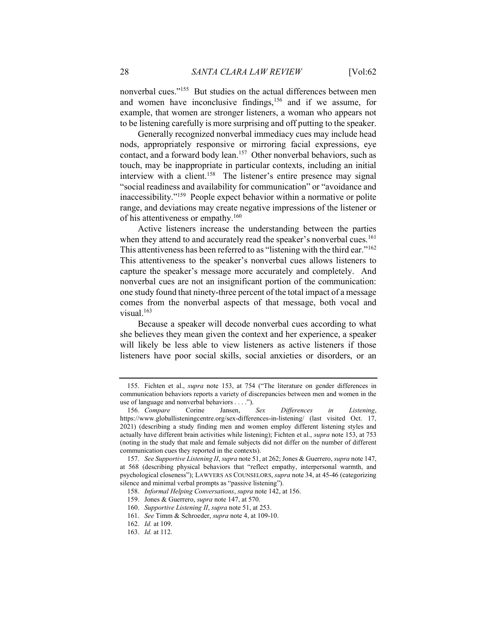nonverbal cues."<sup>155</sup> But studies on the actual differences between men and women have inconclusive findings,<sup>156</sup> and if we assume, for example, that women are stronger listeners, a woman who appears not to be listening carefully is more surprising and off putting to the speaker.

Generally recognized nonverbal immediacy cues may include head nods, appropriately responsive or mirroring facial expressions, eye contact, and a forward body lean.<sup>157</sup> Other nonverbal behaviors, such as touch, may be inappropriate in particular contexts, including an initial interview with a client.<sup>158</sup> The listener's entire presence may signal "social readiness and availability for communication" or "avoidance and inaccessibility."<sup>159</sup> People expect behavior within a normative or polite range, and deviations may create negative impressions of the listener or of his attentiveness or empathy.<sup>160</sup>

Active listeners increase the understanding between the parties when they attend to and accurately read the speaker's nonverbal cues.<sup>161</sup> This attentiveness has been referred to as "listening with the third ear."<sup>162</sup> This attentiveness to the speaker's nonverbal cues allows listeners to capture the speaker's message more accurately and completely. And nonverbal cues are not an insignificant portion of the communication: one study found that ninety-three percent of the total impact of a message comes from the nonverbal aspects of that message, both vocal and visual.<sup>163</sup>

Because a speaker will decode nonverbal cues according to what she believes they mean given the context and her experience, a speaker will likely be less able to view listeners as active listeners if those listeners have poor social skills, social anxieties or disorders, or an

 <sup>155.</sup> Fichten et al., supra note 153, at 754 ("The literature on gender differences in communication behaviors reports a variety of discrepancies between men and women in the use of language and nonverbal behaviors  $\dots$ ").<br>156. Compare Corine Jansen. Sex

<sup>156.</sup> Compare Corine Jansen, Sex Differences in Listening, https://www.globallisteningcentre.org/sex-differences-in-listening/ (last visited Oct. 17, 2021) (describing a study finding men and women employ different listening styles and actually have different brain activities while listening); Fichten et al., supra note 153, at 753 (noting in the study that male and female subjects did not differ on the number of different communication cues they reported in the contexts).

<sup>157.</sup> See Supportive Listening II, supra note 51, at 262; Jones & Guerrero, supra note 147, at 568 (describing physical behaviors that "reflect empathy, interpersonal warmth, and psychological closeness"); LAWYERS AS COUNSELORS, supra note 34, at 45-46 (categorizing silence and minimal verbal prompts as "passive listening").

<sup>158.</sup> Informal Helping Conversations, supra note 142, at 156.

 <sup>159.</sup> Jones & Guerrero, supra note 147, at 570.

<sup>160.</sup> Supportive Listening II, supra note 51, at 253.

<sup>161.</sup> See Timm & Schroeder, supra note 4, at 109-10.

<sup>162.</sup> Id. at 109.

<sup>163.</sup> Id. at 112.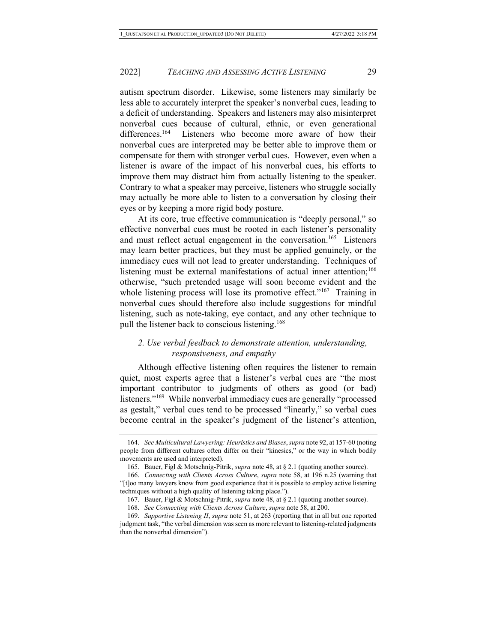autism spectrum disorder. Likewise, some listeners may similarly be less able to accurately interpret the speaker's nonverbal cues, leading to a deficit of understanding. Speakers and listeners may also misinterpret nonverbal cues because of cultural, ethnic, or even generational differences.<sup>164</sup> Listeners who become more aware of how their nonverbal cues are interpreted may be better able to improve them or compensate for them with stronger verbal cues. However, even when a listener is aware of the impact of his nonverbal cues, his efforts to improve them may distract him from actually listening to the speaker. Contrary to what a speaker may perceive, listeners who struggle socially may actually be more able to listen to a conversation by closing their eyes or by keeping a more rigid body posture.

At its core, true effective communication is "deeply personal," so effective nonverbal cues must be rooted in each listener's personality and must reflect actual engagement in the conversation.<sup>165</sup> Listeners may learn better practices, but they must be applied genuinely, or the immediacy cues will not lead to greater understanding. Techniques of listening must be external manifestations of actual inner attention;<sup>166</sup> otherwise, "such pretended usage will soon become evident and the whole listening process will lose its promotive effect."<sup>167</sup> Training in nonverbal cues should therefore also include suggestions for mindful listening, such as note-taking, eye contact, and any other technique to pull the listener back to conscious listening.<sup>168</sup>

## 2. Use verbal feedback to demonstrate attention, understanding, responsiveness, and empathy

Although effective listening often requires the listener to remain quiet, most experts agree that a listener's verbal cues are "the most important contributor to judgments of others as good (or bad) listeners."<sup>169</sup> While nonverbal immediacy cues are generally "processed as gestalt," verbal cues tend to be processed "linearly," so verbal cues become central in the speaker's judgment of the listener's attention,

<sup>164.</sup> See Multicultural Lawyering: Heuristics and Biases, supra note 92, at 157-60 (noting people from different cultures often differ on their "kinesics," or the way in which bodily movements are used and interpreted).

 <sup>165.</sup> Bauer, Figl & Motschnig-Pitrik, supra note 48, at § 2.1 (quoting another source).

<sup>166.</sup> Connecting with Clients Across Culture, supra note 58, at 196 n.25 (warning that "[t]oo many lawyers know from good experience that it is possible to employ active listening techniques without a high quality of listening taking place.").

 <sup>167.</sup> Bauer, Figl & Motschnig-Pitrik, supra note 48, at § 2.1 (quoting another source).

<sup>168.</sup> See Connecting with Clients Across Culture, supra note 58, at 200.

<sup>169.</sup> Supportive Listening II, supra note 51, at 263 (reporting that in all but one reported judgment task, "the verbal dimension was seen as more relevant to listening-related judgments than the nonverbal dimension").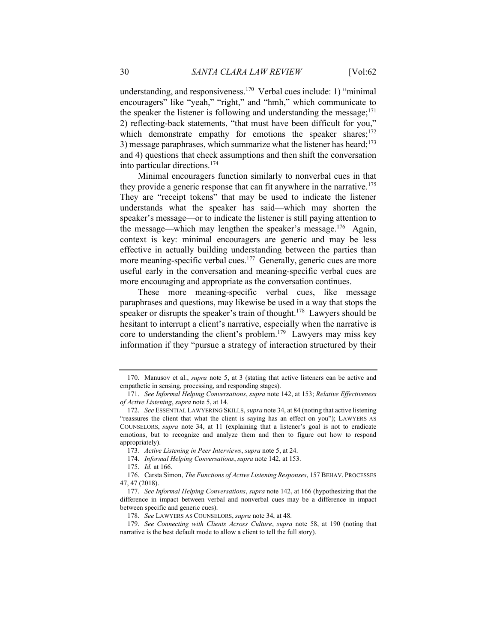understanding, and responsiveness.<sup>170</sup> Verbal cues include: 1) "minimal encouragers" like "yeah," "right," and "hmh," which communicate to the speaker the listener is following and understanding the message;  $171$ 2) reflecting-back statements, "that must have been difficult for you," which demonstrate empathy for emotions the speaker shares;<sup>172</sup> 3) message paraphrases, which summarize what the listener has heard;<sup>173</sup> and 4) questions that check assumptions and then shift the conversation into particular directions.<sup>174</sup>

Minimal encouragers function similarly to nonverbal cues in that they provide a generic response that can fit anywhere in the narrative.<sup>175</sup> They are "receipt tokens" that may be used to indicate the listener understands what the speaker has said—which may shorten the speaker's message—or to indicate the listener is still paying attention to the message—which may lengthen the speaker's message.<sup>176</sup> Again, context is key: minimal encouragers are generic and may be less effective in actually building understanding between the parties than more meaning-specific verbal cues.<sup>177</sup> Generally, generic cues are more useful early in the conversation and meaning-specific verbal cues are more encouraging and appropriate as the conversation continues.

These more meaning-specific verbal cues, like message paraphrases and questions, may likewise be used in a way that stops the speaker or disrupts the speaker's train of thought.<sup>178</sup> Lawyers should be hesitant to interrupt a client's narrative, especially when the narrative is core to understanding the client's problem.<sup>179</sup> Lawyers may miss key information if they "pursue a strategy of interaction structured by their

175. Id. at 166.

<sup>170.</sup> Manusov et al., *supra* note 5, at 3 (stating that active listeners can be active and empathetic in sensing, processing, and responding stages).

<sup>171.</sup> See Informal Helping Conversations, supra note 142, at 153; Relative Effectiveness of Active Listening, supra note 5, at 14.

<sup>172.</sup> See ESSENTIAL LAWYERING SKILLS, *supra* note 34, at 84 (noting that active listening "reassures the client that what the client is saying has an effect on you"); LAWYERS AS COUNSELORS, supra note 34, at 11 (explaining that a listener's goal is not to eradicate emotions, but to recognize and analyze them and then to figure out how to respond appropriately).

 <sup>173</sup>. Active Listening in Peer Interviews, supra note 5, at 24.

<sup>174.</sup> Informal Helping Conversations, supra note 142, at 153.

 <sup>176.</sup> Carsta Simon, The Functions of Active Listening Responses, 157 BEHAV. PROCESSES 47, 47 (2018).

<sup>177.</sup> See Informal Helping Conversations, supra note 142, at 166 (hypothesizing that the difference in impact between verbal and nonverbal cues may be a difference in impact between specific and generic cues).

<sup>178.</sup> See LAWYERS AS COUNSELORS, supra note 34, at 48.

<sup>179.</sup> See Connecting with Clients Across Culture, supra note 58, at 190 (noting that narrative is the best default mode to allow a client to tell the full story).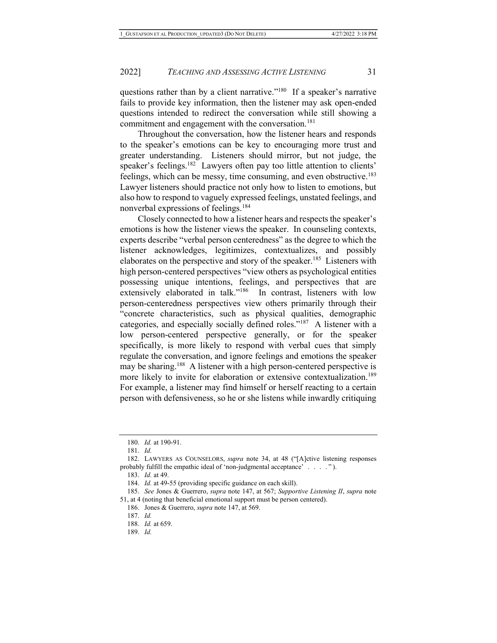questions rather than by a client narrative."<sup>180</sup> If a speaker's narrative fails to provide key information, then the listener may ask open-ended questions intended to redirect the conversation while still showing a commitment and engagement with the conversation.<sup>181</sup>

Throughout the conversation, how the listener hears and responds to the speaker's emotions can be key to encouraging more trust and greater understanding. Listeners should mirror, but not judge, the speaker's feelings.<sup>182</sup> Lawyers often pay too little attention to clients' feelings, which can be messy, time consuming, and even obstructive.<sup>183</sup> Lawyer listeners should practice not only how to listen to emotions, but also how to respond to vaguely expressed feelings, unstated feelings, and nonverbal expressions of feelings.<sup>184</sup>

Closely connected to how a listener hears and respects the speaker's emotions is how the listener views the speaker. In counseling contexts, experts describe "verbal person centeredness" as the degree to which the listener acknowledges, legitimizes, contextualizes, and possibly elaborates on the perspective and story of the speaker.<sup>185</sup> Listeners with high person-centered perspectives "view others as psychological entities possessing unique intentions, feelings, and perspectives that are extensively elaborated in talk."<sup>186</sup> In contrast, listeners with low person-centeredness perspectives view others primarily through their "concrete characteristics, such as physical qualities, demographic categories, and especially socially defined roles."<sup>187</sup> A listener with a low person-centered perspective generally, or for the speaker specifically, is more likely to respond with verbal cues that simply regulate the conversation, and ignore feelings and emotions the speaker may be sharing.<sup>188</sup> A listener with a high person-centered perspective is more likely to invite for elaboration or extensive contextualization.<sup>189</sup> For example, a listener may find himself or herself reacting to a certain person with defensiveness, so he or she listens while inwardly critiquing

183. Id. at 49.

<sup>180.</sup> Id. at 190-91.

<sup>181.</sup> Id.

 <sup>182.</sup> LAWYERS AS COUNSELORS, supra note 34, at 48 ("[A]ctive listening responses probably fulfill the empathic ideal of 'non-judgmental acceptance' . . . . " ).

<sup>184.</sup> Id. at 49-55 (providing specific guidance on each skill).

<sup>185.</sup> See Jones & Guerrero, supra note 147, at 567; Supportive Listening II, supra note 51, at 4 (noting that beneficial emotional support must be person centered).

 <sup>186.</sup> Jones & Guerrero, supra note 147, at 569.

<sup>187.</sup> Id.

<sup>188.</sup> Id. at 659.

<sup>189.</sup> Id.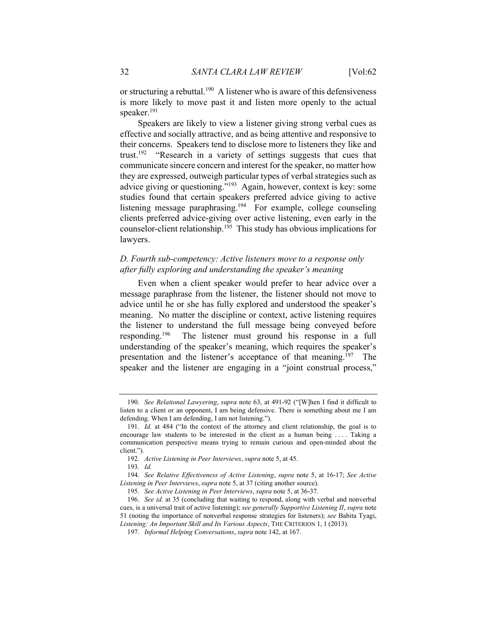or structuring a rebuttal.<sup>190</sup> A listener who is aware of this defensiveness is more likely to move past it and listen more openly to the actual speaker.<sup>191</sup>

Speakers are likely to view a listener giving strong verbal cues as effective and socially attractive, and as being attentive and responsive to their concerns. Speakers tend to disclose more to listeners they like and trust.<sup>192</sup> "Research in a variety of settings suggests that cues that communicate sincere concern and interest for the speaker, no matter how they are expressed, outweigh particular types of verbal strategies such as advice giving or questioning."<sup>193</sup> Again, however, context is key: some studies found that certain speakers preferred advice giving to active listening message paraphrasing.<sup>194</sup> For example, college counseling clients preferred advice-giving over active listening, even early in the counselor-client relationship.<sup>195</sup> This study has obvious implications for lawyers.

## D. Fourth sub-competency: Active listeners move to a response only after fully exploring and understanding the speaker's meaning

Even when a client speaker would prefer to hear advice over a message paraphrase from the listener, the listener should not move to advice until he or she has fully explored and understood the speaker's meaning. No matter the discipline or context, active listening requires the listener to understand the full message being conveyed before responding.<sup>196</sup> The listener must ground his response in a full understanding of the speaker's meaning, which requires the speaker's presentation and the listener's acceptance of that meaning.<sup>197</sup> The speaker and the listener are engaging in a "joint construal process,"

<sup>190.</sup> See Relational Lawyering, supra note 63, at 491-92 ("[W]hen I find it difficult to listen to a client or an opponent, I am being defensive. There is something about me I am defending. When I am defending, I am not listening.").

<sup>191.</sup> Id. at 484 ("In the context of the attorney and client relationship, the goal is to encourage law students to be interested in the client as a human being . . . . Taking a communication perspective means trying to remain curious and open-minded about the client.").

 <sup>192</sup>. Active Listening in Peer Interviews, supra note 5, at 45.

<sup>193</sup>. Id.

<sup>194.</sup> See Relative Effectiveness of Active Listening, supra note 5, at 16-17; See Active Listening in Peer Interviews, supra note 5, at 37 (citing another source).

<sup>195.</sup> See Active Listening in Peer Interviews, supra note 5, at 36-37.

<sup>196.</sup> See id. at 35 (concluding that waiting to respond, along with verbal and nonverbal cues, is a universal trait of active listening); see generally Supportive Listening II, supra note 51 (noting the importance of nonverbal response strategies for listeners); see Babita Tyagi, Listening: An Important Skill and Its Various Aspects, THE CRITERION 1, 1 (2013).

<sup>197.</sup> Informal Helping Conversations, supra note 142, at 167.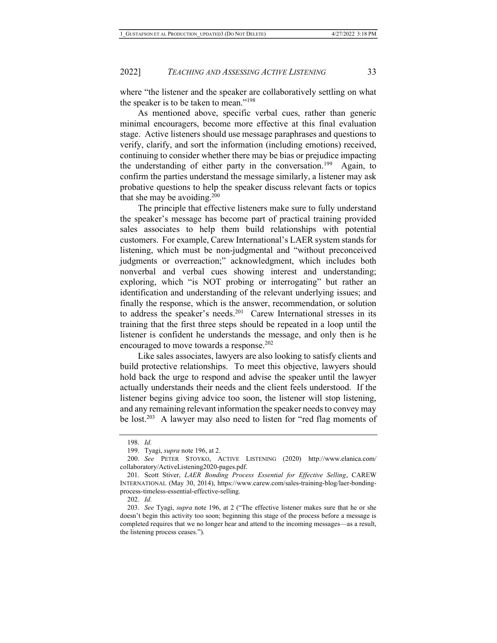where "the listener and the speaker are collaboratively settling on what the speaker is to be taken to mean."<sup>198</sup>

As mentioned above, specific verbal cues, rather than generic minimal encouragers, become more effective at this final evaluation stage. Active listeners should use message paraphrases and questions to verify, clarify, and sort the information (including emotions) received, continuing to consider whether there may be bias or prejudice impacting the understanding of either party in the conversation.<sup>199</sup> Again, to confirm the parties understand the message similarly, a listener may ask probative questions to help the speaker discuss relevant facts or topics that she may be avoiding.<sup>200</sup>

The principle that effective listeners make sure to fully understand the speaker's message has become part of practical training provided sales associates to help them build relationships with potential customers. For example, Carew International's LAER system stands for listening, which must be non-judgmental and "without preconceived judgments or overreaction;" acknowledgment, which includes both nonverbal and verbal cues showing interest and understanding; exploring, which "is NOT probing or interrogating" but rather an identification and understanding of the relevant underlying issues; and finally the response, which is the answer, recommendation, or solution to address the speaker's needs.<sup>201</sup> Carew International stresses in its training that the first three steps should be repeated in a loop until the listener is confident he understands the message, and only then is he encouraged to move towards a response.<sup>202</sup>

Like sales associates, lawyers are also looking to satisfy clients and build protective relationships. To meet this objective, lawyers should hold back the urge to respond and advise the speaker until the lawyer actually understands their needs and the client feels understood. If the listener begins giving advice too soon, the listener will stop listening, and any remaining relevant information the speaker needs to convey may be lost.<sup>203</sup> A lawyer may also need to listen for "red flag moments of

<sup>198.</sup> Id.

 <sup>199.</sup> Tyagi, supra note 196, at 2.

<sup>200.</sup> See PETER STOYKO, ACTIVE LISTENING (2020) http://www.elanica.com/ collaboratory/ActiveListening2020-pages.pdf.

<sup>201.</sup> Scott Stiver, LAER Bonding Process Essential for Effective Selling, CAREW INTERNATIONAL (May 30, 2014), https://www.carew.com/sales-training-blog/laer-bondingprocess-timeless-essential-effective-selling.

<sup>202.</sup> Id.

<sup>203.</sup> See Tyagi, supra note 196, at 2 ("The effective listener makes sure that he or she doesn't begin this activity too soon; beginning this stage of the process before a message is completed requires that we no longer hear and attend to the incoming messages—as a result, the listening process ceases.").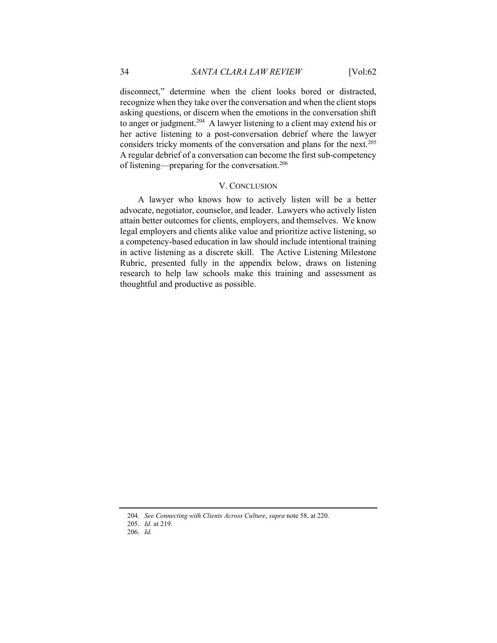disconnect," determine when the client looks bored or distracted, recognize when they take over the conversation and when the client stops asking questions, or discern when the emotions in the conversation shift to anger or judgment.<sup>204</sup> A lawyer listening to a client may extend his or her active listening to a post-conversation debrief where the lawyer considers tricky moments of the conversation and plans for the next.<sup>205</sup> A regular debrief of a conversation can become the first sub-competency of listening—preparing for the conversation.<sup>206</sup>

#### V. CONCLUSION

A lawyer who knows how to actively listen will be a better advocate, negotiator, counselor, and leader. Lawyers who actively listen attain better outcomes for clients, employers, and themselves. We know legal employers and clients alike value and prioritize active listening, so a competency-based education in law should include intentional training in active listening as a discrete skill. The Active Listening Milestone Rubric, presented fully in the appendix below, draws on listening research to help law schools make this training and assessment as thoughtful and productive as possible.

<sup>204.</sup> See Connecting with Clients Across Culture, supra note 58, at 220.

<sup>205.</sup> Id. at 219.

<sup>206.</sup> Id.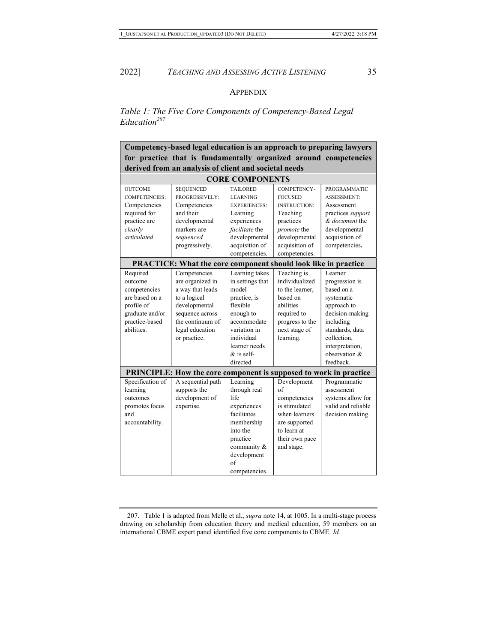#### **APPENDIX**

Table 1: The Five Core Components of Competency-Based Legal  $Education<sup>207</sup>$ 

Competency-based legal education is an approach to preparing lawyers for practice that is fundamentally organized around competencies derived from an analysis of client and societal needs

| <b>CORE COMPONENTS</b>                                            |                                                                       |                     |                     |                     |  |
|-------------------------------------------------------------------|-----------------------------------------------------------------------|---------------------|---------------------|---------------------|--|
| <b>OUTCOME</b>                                                    | <b>SEQUENCED</b>                                                      | <b>TAILORED</b>     | COMPETENCY-         | <b>PROGRAMMATIC</b> |  |
| <b>COMPETENCIES:</b>                                              | PROGRESSIVELY:                                                        | <b>LEARNING</b>     | <b>FOCUSED</b>      | <b>ASSESSMENT:</b>  |  |
| Competencies                                                      | Competencies                                                          | <b>EXPERIENCES:</b> | <b>INSTRUCTION:</b> | Assessment          |  |
| required for                                                      | and their                                                             | Learning            | Teaching            | practices support   |  |
| practice are                                                      | developmental                                                         | experiences         | practices           | & document the      |  |
| clearly                                                           | markers are                                                           | facilitate the      | promote the         | developmental       |  |
| articulated.                                                      | sequenced                                                             | developmental       | developmental       | acquisition of      |  |
|                                                                   | progressively.                                                        | acquisition of      | acquisition of      | competencies.       |  |
|                                                                   |                                                                       | competencies.       | competencies.       |                     |  |
|                                                                   | <b>PRACTICE:</b> What the core component should look like in practice |                     |                     |                     |  |
| Required                                                          | Competencies                                                          | Learning takes      | Teaching is         | Learner             |  |
| outcome                                                           | are organized in                                                      | in settings that    | individualized      | progression is      |  |
| competencies                                                      | a way that leads                                                      | model               | to the learner.     | based on a          |  |
| are based on a                                                    | to a logical                                                          | practice, is        | based on            | systematic          |  |
| profile of                                                        | developmental                                                         | flexible            | abilities           | approach to         |  |
| graduate and/or                                                   | sequence across                                                       | enough to           | required to         | decision-making     |  |
| practice-based                                                    | the continuum of                                                      | accommodate         | progress to the     | including           |  |
| abilities.                                                        | legal education                                                       | variation in        | next stage of       | standards, data     |  |
|                                                                   | or practice.                                                          | individual          | learning.           | collection.         |  |
|                                                                   |                                                                       | learner needs       |                     | interpretation,     |  |
|                                                                   |                                                                       | $&$ is self-        |                     | observation &       |  |
|                                                                   |                                                                       | directed.           |                     | feedback.           |  |
| PRINCIPLE: How the core component is supposed to work in practice |                                                                       |                     |                     |                     |  |
| Specification of                                                  | A sequential path                                                     | Learning            | Development         | Programmatic        |  |
| learning                                                          | supports the                                                          | through real        | $\alpha$ f          | assessment          |  |
| outcomes                                                          | development of                                                        | life                | competencies        | systems allow for   |  |
| promotes focus                                                    | expertise.                                                            | experiences         | is stimulated       | valid and reliable  |  |
| and                                                               |                                                                       | facilitates         | when learners       | decision making.    |  |
| accountability.                                                   |                                                                       | membership          | are supported       |                     |  |
|                                                                   |                                                                       | into the            | to learn at         |                     |  |
|                                                                   |                                                                       | practice            | their own pace      |                     |  |
|                                                                   |                                                                       | community &         | and stage.          |                     |  |
|                                                                   |                                                                       | development         |                     |                     |  |
|                                                                   |                                                                       | $\sigma$ f          |                     |                     |  |
|                                                                   |                                                                       | competencies.       |                     |                     |  |

 <sup>207.</sup> Table 1 is adapted from Melle et al., supra note 14, at 1005. In a multi-stage process drawing on scholarship from education theory and medical education, 59 members on an international CBME expert panel identified five core components to CBME. Id.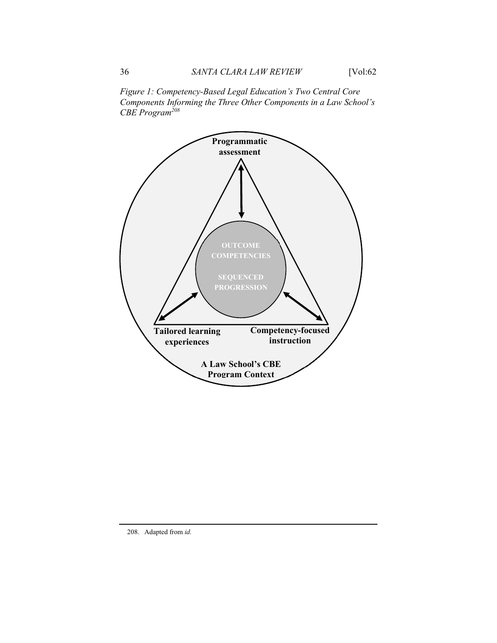Figure 1: Competency-Based Legal Education's Two Central Core Components Informing the Three Other Components in a Law School's  $CBE$  Program<sup>208</sup>



208. Adapted from id.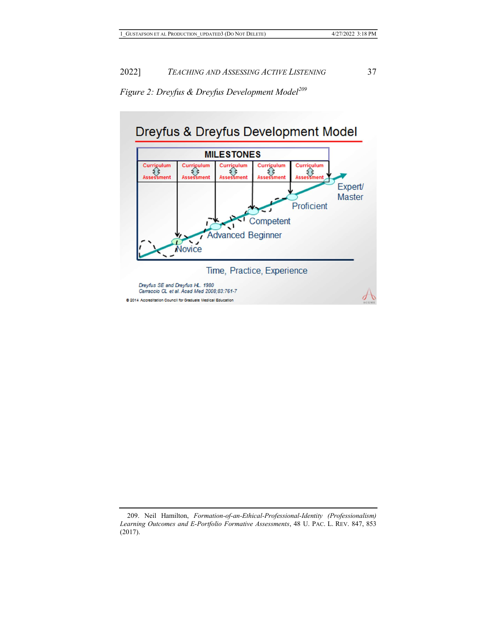



 <sup>209.</sup> Neil Hamilton, Formation-of-an-Ethical-Professional-Identity (Professionalism) Learning Outcomes and E-Portfolio Formative Assessments, 48 U. PAC. L. REV. 847, 853 (2017).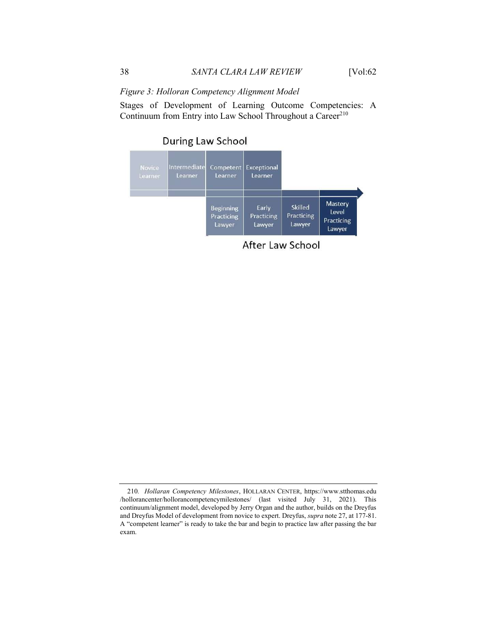## Figure 3: Holloran Competency Alignment Model

Stages of Development of Learning Outcome Competencies: A Continuum from Entry into Law School Throughout a Career<sup>210</sup>

# **During Law School**



After Law School

<sup>210</sup>. Hollaran Competency Milestones, HOLLARAN CENTER, https://www.stthomas.edu /hollorancenter/hollorancompetencymilestones/ (last visited July 31, 2021). This continuum/alignment model, developed by Jerry Organ and the author, builds on the Dreyfus and Dreyfus Model of development from novice to expert. Dreyfus, supra note 27, at 177-81. A "competent learner" is ready to take the bar and begin to practice law after passing the bar exam.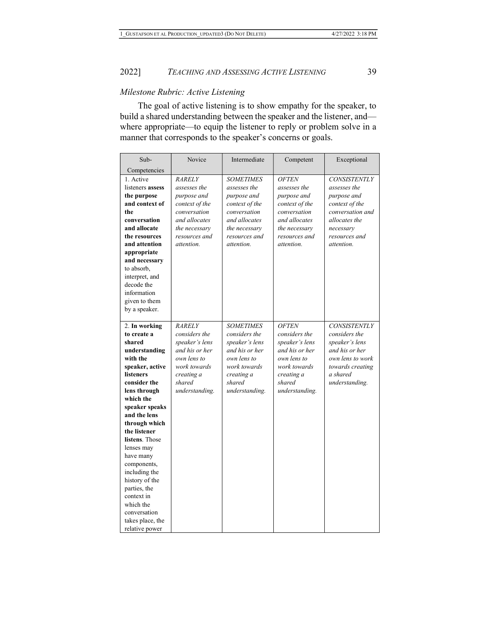#### Milestone Rubric: Active Listening

The goal of active listening is to show empathy for the speaker, to build a shared understanding between the speaker and the listener, and where appropriate—to equip the listener to reply or problem solve in a manner that corresponds to the speaker's concerns or goals.

| Sub-             | Novice         | Intermediate     | Competent      | Exceptional         |
|------------------|----------------|------------------|----------------|---------------------|
| Competencies     |                |                  |                |                     |
| 1. Active        | <b>RARELY</b>  | <b>SOMETIMES</b> | <b>OFTEN</b>   | <b>CONSISTENTLY</b> |
| listeners assess | assesses the   | assesses the     | assesses the   | assesses the        |
| the purpose      | purpose and    | purpose and      | purpose and    | purpose and         |
| and context of   | context of the | context of the   | context of the | context of the      |
| the              | conversation   | conversation     | conversation   | conversation and    |
| conversation     | and allocates  | and allocates    | and allocates  | allocates the       |
| and allocate     | the necessary  | the necessarv    | the necessary  | necessarv           |
| the resources    | resources and  | resources and    | resources and  | resources and       |
| and attention    | attention.     | attention.       | attention.     | attention.          |
| appropriate      |                |                  |                |                     |
| and necessary    |                |                  |                |                     |
| to absorb,       |                |                  |                |                     |
| interpret, and   |                |                  |                |                     |
| decode the       |                |                  |                |                     |
| information      |                |                  |                |                     |
| given to them    |                |                  |                |                     |
| by a speaker.    |                |                  |                |                     |
|                  |                |                  |                |                     |
| 2. In working    | <b>RARELY</b>  | <b>SOMETIMES</b> | <b>OFTEN</b>   | <b>CONSISTENTLY</b> |
| to create a      | considers the  | considers the    | considers the  | considers the       |
| shared           | speaker's lens | speaker's lens   | speaker's lens | speaker's lens      |
| understanding    | and his or her | and his or her   | and his or her | and his or her      |
| with the         | own lens to    | own lens to      | own lens to    | own lens to work    |
| speaker, active  | work towards   | work towards     | work towards   | towards creating    |
| <b>listeners</b> | creating a     | creating a       | creating a     | a shared            |
| consider the     | shared         | shared           | shared         | understanding.      |
| lens through     | understanding. | understanding.   | understanding. |                     |
| which the        |                |                  |                |                     |
| speaker speaks   |                |                  |                |                     |
| and the lens     |                |                  |                |                     |
| through which    |                |                  |                |                     |
| the listener     |                |                  |                |                     |
| listens. Those   |                |                  |                |                     |
| lenses may       |                |                  |                |                     |
| have many        |                |                  |                |                     |
| components,      |                |                  |                |                     |
| including the    |                |                  |                |                     |
| history of the   |                |                  |                |                     |
| parties, the     |                |                  |                |                     |
| context in       |                |                  |                |                     |
| which the        |                |                  |                |                     |
| conversation     |                |                  |                |                     |
| takes place, the |                |                  |                |                     |
| relative power   |                |                  |                |                     |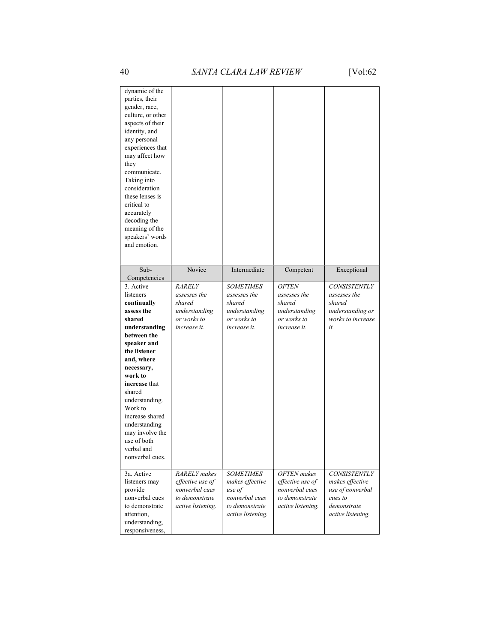| dynamic of the<br>parties, their<br>gender, race,<br>culture, or other<br>aspects of their<br>identity, and<br>any personal<br>experiences that |                     |                   |                    |                     |
|-------------------------------------------------------------------------------------------------------------------------------------------------|---------------------|-------------------|--------------------|---------------------|
| may affect how<br>they                                                                                                                          |                     |                   |                    |                     |
| communicate.<br>Taking into<br>consideration<br>these lenses is                                                                                 |                     |                   |                    |                     |
| critical to                                                                                                                                     |                     |                   |                    |                     |
| accurately<br>decoding the                                                                                                                      |                     |                   |                    |                     |
| meaning of the                                                                                                                                  |                     |                   |                    |                     |
| speakers' words<br>and emotion.                                                                                                                 |                     |                   |                    |                     |
|                                                                                                                                                 |                     |                   |                    |                     |
| Sub-                                                                                                                                            | Novice              | Intermediate      | Competent          | Exceptional         |
| Competencies                                                                                                                                    |                     |                   |                    |                     |
| 3. Active                                                                                                                                       | <b>RARELY</b>       | <b>SOMETIMES</b>  | <b>OFTEN</b>       | <b>CONSISTENTLY</b> |
| listeners                                                                                                                                       | assesses the        | assesses the      | assesses the       | assesses the        |
| continually                                                                                                                                     | shared              | shared            | shared             | shared              |
| assess the                                                                                                                                      | understanding       | understanding     | understanding      | understanding or    |
| shared                                                                                                                                          | or works to         | or works to       | or works to        | works to increase   |
| understanding                                                                                                                                   | increase it.        | increase it.      | increase it.       | it.                 |
| between the                                                                                                                                     |                     |                   |                    |                     |
| speaker and                                                                                                                                     |                     |                   |                    |                     |
| the listener                                                                                                                                    |                     |                   |                    |                     |
| and, where                                                                                                                                      |                     |                   |                    |                     |
| necessary,                                                                                                                                      |                     |                   |                    |                     |
| work to                                                                                                                                         |                     |                   |                    |                     |
| increase that                                                                                                                                   |                     |                   |                    |                     |
| shared                                                                                                                                          |                     |                   |                    |                     |
| understanding.<br>Work to                                                                                                                       |                     |                   |                    |                     |
| increase shared                                                                                                                                 |                     |                   |                    |                     |
| understanding                                                                                                                                   |                     |                   |                    |                     |
| may involve the                                                                                                                                 |                     |                   |                    |                     |
| use of both                                                                                                                                     |                     |                   |                    |                     |
| verbal and                                                                                                                                      |                     |                   |                    |                     |
| nonverbal cues.                                                                                                                                 |                     |                   |                    |                     |
|                                                                                                                                                 |                     |                   |                    |                     |
| 3a. Active                                                                                                                                      | <b>RARELY</b> makes | <b>SOMETIMES</b>  | <b>OFTEN</b> makes | <b>CONSISTENTLY</b> |
| listeners may                                                                                                                                   | effective use of    | makes effective   | effective use of   | makes effective     |
| provide                                                                                                                                         | nonverbal cues      | use of            | nonverbal cues     | use of nonverbal    |
| nonverbal cues                                                                                                                                  | to demonstrate      | nonverbal cues    | to demonstrate     | cues to             |
| to demonstrate                                                                                                                                  | active listening.   | to demonstrate    | active listening.  | demonstrate         |
| attention,                                                                                                                                      |                     | active listening. |                    | active listening.   |
| understanding,                                                                                                                                  |                     |                   |                    |                     |
| responsiveness,                                                                                                                                 |                     |                   |                    |                     |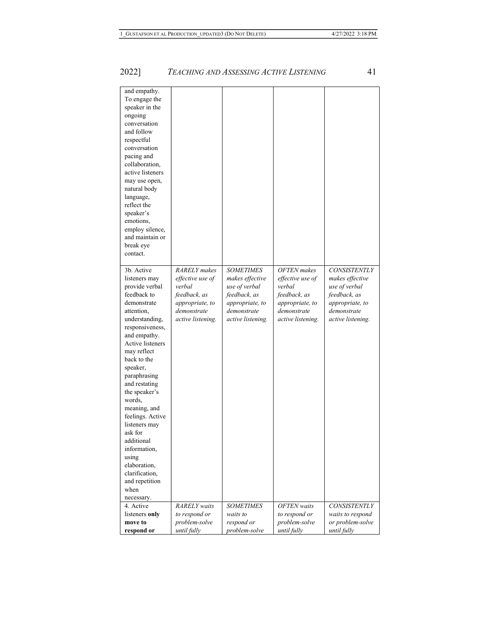move to respond or problem-solve until fully

respond or problem-solve problem-solve until fully

or problem-solve until fully

| and empathy.<br>To engage the<br>speaker in the<br>ongoing<br>conversation<br>and follow<br>respectful<br>conversation<br>pacing and<br>collaboration,<br>active listeners<br>may use open,<br>natural body<br>language,<br>reflect the<br>speaker's<br>emotions,<br>employ silence,<br>and maintain or<br>break eye<br>contact.<br>3b. Active | <b>RARELY</b> makes      | <b>SOMETIMES</b>         | <b>OFTEN</b> makes | <b>CONSISTENTLY</b> |
|------------------------------------------------------------------------------------------------------------------------------------------------------------------------------------------------------------------------------------------------------------------------------------------------------------------------------------------------|--------------------------|--------------------------|--------------------|---------------------|
| listeners may                                                                                                                                                                                                                                                                                                                                  | effective use of         | makes effective          | effective use of   | makes effective     |
| provide verbal                                                                                                                                                                                                                                                                                                                                 | verbal                   | use of verbal            | verbal             | use of verbal       |
| feedback to                                                                                                                                                                                                                                                                                                                                    | feedback, as             | feedback, as             | feedback, as       | feedback, as        |
| demonstrate                                                                                                                                                                                                                                                                                                                                    | appropriate, to          | appropriate, to          | appropriate, to    | appropriate, to     |
| attention,                                                                                                                                                                                                                                                                                                                                     | demonstrate              | demonstrate              | demonstrate        | demonstrate         |
| understanding,                                                                                                                                                                                                                                                                                                                                 | <i>active listening.</i> | <i>active listening.</i> | active listening.  | active listening.   |
| responsiveness,                                                                                                                                                                                                                                                                                                                                |                          |                          |                    |                     |
| and empathy.<br>Active listeners                                                                                                                                                                                                                                                                                                               |                          |                          |                    |                     |
| may reflect                                                                                                                                                                                                                                                                                                                                    |                          |                          |                    |                     |
| back to the                                                                                                                                                                                                                                                                                                                                    |                          |                          |                    |                     |
| speaker,                                                                                                                                                                                                                                                                                                                                       |                          |                          |                    |                     |
| paraphrasing                                                                                                                                                                                                                                                                                                                                   |                          |                          |                    |                     |
| and restating                                                                                                                                                                                                                                                                                                                                  |                          |                          |                    |                     |
| the speaker's                                                                                                                                                                                                                                                                                                                                  |                          |                          |                    |                     |
| words,                                                                                                                                                                                                                                                                                                                                         |                          |                          |                    |                     |
| meaning, and                                                                                                                                                                                                                                                                                                                                   |                          |                          |                    |                     |
| feelings. Active<br>listeners may                                                                                                                                                                                                                                                                                                              |                          |                          |                    |                     |
| ask for                                                                                                                                                                                                                                                                                                                                        |                          |                          |                    |                     |
| additional                                                                                                                                                                                                                                                                                                                                     |                          |                          |                    |                     |
| information,                                                                                                                                                                                                                                                                                                                                   |                          |                          |                    |                     |
| using                                                                                                                                                                                                                                                                                                                                          |                          |                          |                    |                     |
| elaboration,                                                                                                                                                                                                                                                                                                                                   |                          |                          |                    |                     |
| clarification.                                                                                                                                                                                                                                                                                                                                 |                          |                          |                    |                     |
| and repetition<br>when                                                                                                                                                                                                                                                                                                                         |                          |                          |                    |                     |
|                                                                                                                                                                                                                                                                                                                                                |                          |                          |                    |                     |
|                                                                                                                                                                                                                                                                                                                                                |                          |                          |                    |                     |
| necessary.<br>4. Active                                                                                                                                                                                                                                                                                                                        | <b>RARELY</b> waits      | <b>SOMETIMES</b>         | <b>OFTEN</b> waits | <b>CONSISTENTLY</b> |

## 2022] TEACHING AND ASSESSING ACTIVE LISTENING 41